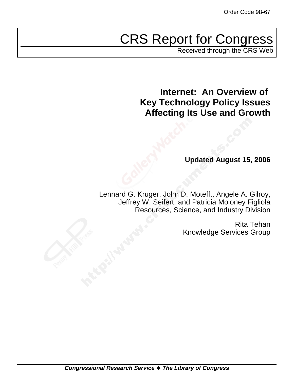# CRS Report for Congress

Received through the CRS Web

**Internet: An Overview of Key Technology Policy Issues Affecting Its Use and Growth**

**Updated August 15, 2006**

Lennard G. Kruger, John D. Moteff,, Angele A. Gilroy, Jeffrey W. Seifert, and Patricia Moloney Figliola Resources, Science, and Industry Division

> Rita Tehan Knowledge Services Group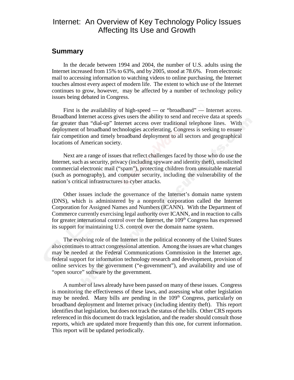## Internet: An Overview of Key Technology Policy Issues Affecting Its Use and Growth

## **Summary**

In the decade between 1994 and 2004, the number of U.S. adults using the Internet increased from 15% to 63%, and by 2005, stood at 78.6%. From electronic mail to accessing information to watching videos to online purchasing, the Internet touches almost every aspect of modern life. The extent to which use of the Internet continues to grow, however, may be affected by a number of technology policy issues being debated in Congress.

First is the availability of high-speed — or "broadband" — Internet access. Broadband Internet access gives users the ability to send and receive data at speeds far greater than "dial-up" Internet access over traditional telephone lines. With deployment of broadband technologies accelerating, Congress is seeking to ensure fair competition and timely broadband deployment to all sectors and geographical locations of American society.

Next are a range of issues that reflect challenges faced by those who do use the Internet, such as security, privacy (including spyware and identity theft), unsolicited commercial electronic mail ("spam"), protecting children from unsuitable material (such as pornography), and computer security, including the vulnerability of the nation's critical infrastructures to cyber attacks.

Other issues include the governance of the Internet's domain name system (DNS), which is administered by a nonprofit corporation called the Internet Corporation for Assigned Names and Numbers (ICANN). With the Department of Commerce currently exercising legal authority over ICANN, and in reaction to calls for greater international control over the Internet, the  $109<sup>th</sup>$  Congress has expressed its support for maintaining U.S. control over the domain name system.

The evolving role of the Internet in the political economy of the United States also continues to attract congressional attention. Among the issues are what changes may be needed at the Federal Communications Commission in the Internet age, federal support for information technology research and development, provision of online services by the government ("e-government"), and availability and use of "open source" software by the government.

A number of laws already have been passed on many of these issues. Congress is monitoring the effectiveness of these laws, and assessing what other legislation may be needed. Many bills are pending in the 109<sup>th</sup> Congress, particularly on broadband deployment and Internet privacy (including identity theft). This report identifies that legislation, but does not track the status of the bills. Other CRS reports referenced in this document do track legislation, and the reader should consult those reports, which are updated more frequently than this one, for current information. This report will be updated periodically.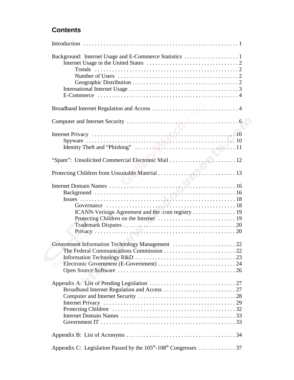## **Contents**

| "Spam": Unsolicited Commercial Electronic Mail  12                                       |
|------------------------------------------------------------------------------------------|
|                                                                                          |
|                                                                                          |
|                                                                                          |
|                                                                                          |
|                                                                                          |
| Appendix C: Legislation Passed by the 105 <sup>th</sup> -108 <sup>th</sup> Congresses 37 |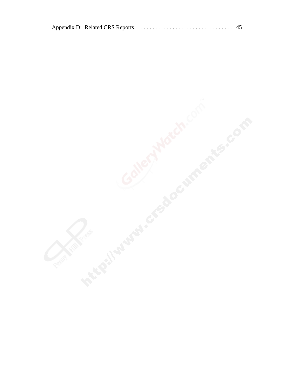|--|--|--|

Application of the contribution of the contribution of the contribution of the contribution of the contribution of the contribution of the contribution of the contribution of the contribution of the contribution of the con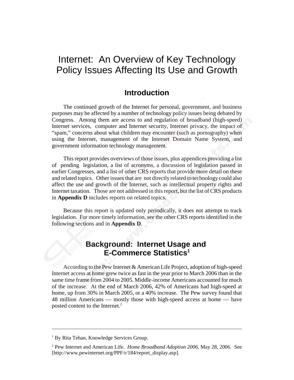## Internet: An Overview of Key Technology Policy Issues Affecting Its Use and Growth

## **Introduction**

The continued growth of the Internet for personal, government, and business purposes may be affected by a number of technology policy issues being debated by Congress. Among them are access to and regulation of broadband (high-speed) Internet services, computer and Internet security, Internet privacy, the impact of "spam," concerns about what children may encounter (such as pornography) when using the Internet, management of the Internet Domain Name System, and government information technology management.

This report provides overviews of those issues, plus appendices providing a list of pending legislation, a list of acronyms, a discussion of legislation passed in earlier Congresses, and a list of other CRS reports that provide more detail on these and related topics. Other issues that are not directly related to technology could also affect the use and growth of the Internet, such as intellectual property rights and Internet taxation. Those are not addressed in this report, but the list of CRS products in **Appendix D** includes reports on related topics.

Because this report is updated only periodically, it does not attempt to track legislation. For more timely information, see the other CRS reports identified in the following sections and in **Appendix D**.

## **Background: Internet Usage and E-Commerce Statistics1**

According to the Pew Internet & American Life Project, adoption of high-speed Internet access at home grew twice as fast in the year prior to March 2006 than in the same time frame from 2004 to 2005. Middle-income Americans accounted for much of the increase. At the end of March 2006, 42% of Americans had high-speed at home, up from 30% in March 2005, or a 40% increase. The Pew survey found that 48 million Americans — mostly those with high-speed access at home — have posted content to the Internet.<sup>2</sup>

<sup>&</sup>lt;sup>1</sup> By Rita Tehan, Knowledge Services Group.

<sup>2</sup> Pew Internet and American Life. *Home Broadband Adoption 2006*, May 28, 2006. See [http://www.pewinternet.org/PPF/r/184/report\_display.asp].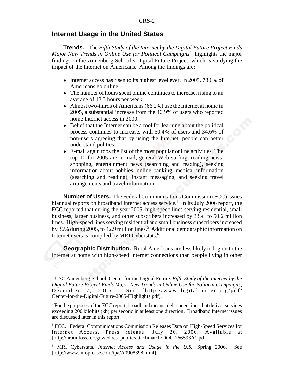#### **Internet Usage in the United States**

**Trends.** The *Fifth Study of the Internet by the Digital Future Project Finds Major New Trends in Online Use for Political Campaigns*<sup>3</sup> highlights the major findings in the Annenberg School's Digital Future Project, which is studying the impact of the Internet on Americans. Among the findings are:

- Internet access has risen to its highest level ever. In 2005, 78.6% of Americans go online.
- The number of hours spent online continues to increase, rising to an average of 13.3 hours per week.
- $\bullet$  Almost two-thirds of Americans (66.2%) use the Internet at home in 2005, a substantial increase from the 46.9% of users who reported home Internet access in 2000.
- Belief that the Internet can be a tool for learning about the political process continues to increase, with 60.4% of users and 34.6% of non-users agreeing that by using the Internet, people can better understand politics.
- ! E-mail again tops the list of the most popular online activities. The top 10 for 2005 are: e-mail, general Web surfing, reading news, shopping, entertainment news (searching and reading), seeking information about hobbies, online banking, medical information (searching and reading), instant messaging, and seeking travel arrangements and travel information.

**Number of Users.** The Federal Communications Commission (FCC) issues biannual reports on broadband Internet access service.<sup>4</sup> In its July 2006 report, the FCC reported that during the year 2005, high-speed lines serving residential, small business, larger business, and other subscribers increased by 33%, to 50.2 million lines. High-speed lines serving residential and small business subscribers increased by 36% during 2005, to 42.9 million lines.<sup>5</sup> Additional demographic information on Internet users is compiled by MRI Cyberstats.6

**Geographic Distribution.** Rural Americans are less likely to log on to the Internet at home with high-speed Internet connections than people living in other

<sup>3</sup> USC Annenberg School, Center for the Digital Future. *Fifth Study of the Internet by the Digital Future Project Finds Major New Trends in Online Use for Political Campaigns*, December 7, 2005. See [http://www.digitalcenter.org/pdf/ Center-for-the-Digital-Future-2005-Highlights.pdf].

<sup>&</sup>lt;sup>4</sup> For the purposes of the FCC report, broadband means high-speed lines that deliver services exceeding 200 kilobits (kb) per second in at least one direction. Broadband Internet issues are discussed later in this report.

<sup>&</sup>lt;sup>5</sup> FCC. Federal Communications Commission Releases Data on High-Speed Services for Internet Access. Press release, July 26, 2006. Available at [http://hraunfoss.fcc.gov/edocs\_public/attachmatch/DOC-266593A1.pdf].

<sup>6</sup> MRI Cyberstats, *Internet Access and Usage in the U.S*., Spring 2006. See [http://www.infoplease.com/ipa/A0908398.html]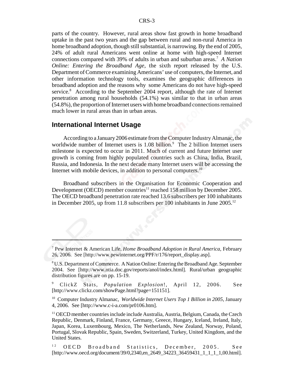parts of the country. However, rural areas show fast growth in home broadband uptake in the past two years and the gap between rural and non-rural America in home broadband adoption, though still substantial, is narrowing. By the end of 2005, 24% of adult rural Americans went online at home with high-speed Internet connections compared with 39% of adults in urban and suburban areas.7 *A Nation Online: Entering the Broadband Age*, the sixth report released by the U.S. Department of Commerce examining Americans' use of computers, the Internet, and other information technology tools, examines the geographic differences in broadband adoption and the reasons why some Americans do not have high-speed service.<sup>8</sup> According to the September 2004 report, although the rate of Internet penetration among rural households (54.1%) was similar to that in urban areas (54.8%), the proportion of Internet users with home broadband connections remained much lower in rural areas than in urban areas.

#### **International Internet Usage**

According to a January 2006 estimate from the Computer Industry Almanac, the worldwide number of Internet users is  $1.08$  billion.<sup>9</sup> The 2 billion Internet users milestone is expected to occur in 2011. Much of current and future Internet user growth is coming from highly populated countries such as China, India, Brazil, Russia, and Indonesia. In the next decade many Internet users will be accessing the Internet with mobile devices, in addition to personal computers.<sup>10</sup>

Broadband subscribers in the Organisation for Economic Cooperation and Development (OECD) member countries<sup>11</sup> reached 158 million by December 2005. The OECD broadband penetration rate reached 13.6 subscribers per 100 inhabitants in December 2005, up from 11.8 subscribers per 100 inhabitants in June 2005.12

10 Computer Industry Almanac, *Worldwide Internet Users Top 1 Billion in 2005*, January 4, 2006. See [http://www.c-i-a.com/pr0106.htm].

<sup>7</sup> Pew Internet & American Life, *Home Broadband Adoption in Rural America*, February 26, 2006. See [http://www.pewinternet.org/PPF/r/176/report\_display.asp].

<sup>&</sup>lt;sup>8</sup> U.S. Department of Commerce. A Nation Online: Entering the Broadband Age. September 2004. See [http://www.ntia.doc.gov/reports/anol/index.html]. Rural/urban geographic distribution figures are on pp. 15-19.

<sup>9</sup> ClickZ Stats, *Population Explosion*!, April 12, 2006. See [http://www.clickz.com/showPage.html?page=151151].

<sup>&</sup>lt;sup>11</sup> OECD member countries include include Australia, Austria, Belgium, Canada, the Czech Republic, Denmark, Finland, France, Germany, Greece, Hungary, Iceland, Ireland, Italy, Japan, Korea, Luxembourg, Mexico, The Netherlands, New Zealand, Norway, Poland, Portugal, Slovak Republic, Spain, Sweden, Switzerland, Turkey, United Kingdom, and the United States.

<sup>&</sup>lt;sup>12</sup> OECD Broadband Statistics, December, 2005. See [http://www.oecd.org/document/39/0,2340,en\_2649\_34223\_36459431\_1\_1\_1\_1,00.html].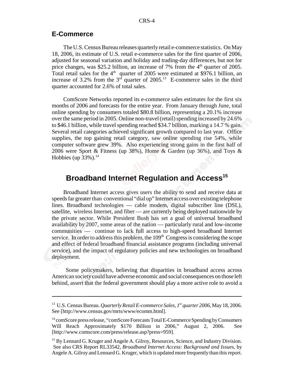#### **E-Commerce**

The U.S. Census Bureau releases quarterly retail e-commerce statistics. On May 18, 2006, its estimate of U.S. retail e-commerce sales for the first quarter of 2006, adjusted for seasonal variation and holiday and trading-day differences, but not for price changes, was \$25.2 billion, an increase of 7% from the  $4<sup>th</sup>$  quarter of 2005. Total retail sales for the  $4<sup>th</sup>$  quarter of 2005 were estimated at \$976.1 billion, an increase of 3.2% from the  $3<sup>rd</sup>$  quarter of 2005.<sup>13</sup> E-commerce sales in the third quarter accounted for 2.6% of total sales.

ComScore Networks reported its e-commerce sales estimates for the first six months of 2006 and forecasts for the entire year. From January through June, total online spending by consumers totaled \$80.8 billion, representing a 20.1% increase over the same period in 2005. Online non-travel (retail) spending increased by 24.6% to \$46.1 billion, while travel spending reached \$34.7 billion, marking a 14.7 % gain. Several retail categories achieved significant growth compared to last year. Office supplies, the top gaining retail category, saw online spending rise 54%, while computer software grew 39%. Also experiencing strong gains in the first half of 2006 were Sport & Fitness (up 38%), Home & Garden (up 36%), and Toys & Hobbies (up  $33\%$ ).<sup>14</sup>

## **Broadband Internet Regulation and Access<sup>15</sup>**

Broadband Internet access gives users the ability to send and receive data at speeds far greater than conventional "dial up" Internet access over existing telephone lines. Broadband technologies — cable modem, digital subscriber line (DSL), satellite, wireless Internet, and fiber — are currently being deployed nationwide by the private sector. While President Bush has set a goal of universal broadband availability by 2007, some areas of the nation — particularly rural and low-income communities — continue to lack full access to high-speed broadband Internet service. In order to address this problem, the  $109<sup>th</sup>$  Congress is considering the scope and effect of federal broadband financial assistance programs (including universal service), and the impact of regulatory policies and new technologies on broadband deployment.

 Some policymakers, believing that disparities in broadband access across American society could have adverse economic and social consequences on those left behind, assert that the federal government should play a more active role to avoid a

<sup>13</sup> U.S. Census Bureau. *Quarterly Retail E-commerce Sales, 1st quarter 2006*, May 18, 2006. See [http://www.census.gov/mrts/www/ecomm.html].

<sup>&</sup>lt;sup>14</sup> comScore press release, "comScore Forecasts Total E-Commerce Spending by Consumers Will Reach Approximately \$170 Billion in 2006," August 2, 2006. See [http://www.comscore.com/press/release.asp?press=959].

<sup>&</sup>lt;sup>15</sup> By Lennard G. Kruger and Angele A. Gilroy, Resources, Science, and Industry Division. See also CRS Report RL33542, *Broadband Internet Access: Background and Issues*, by Angele A. Gilroy and Lennard G. Kruger, which is updated more frequently than this report.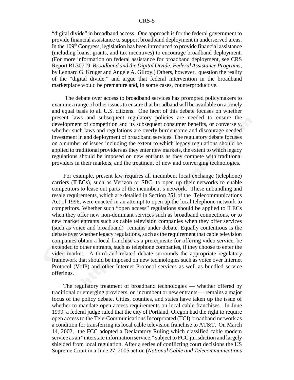"digital divide" in broadband access. One approach is for the federal government to provide financial assistance to support broadband deployment in underserved areas. In the  $109<sup>th</sup> Congress$ , legislation has been introduced to provide financial assistance (including loans, grants, and tax incentives) to encourage broadband deployment. (For more information on federal assistance for broadband deployment, see CRS Report RL30719, *Broadband and the Digital Divide: Federal Assistance Programs*, by Lennard G. Kruger and Angele A. Gilroy.) Others, however, question the reality of the "digital divide," and argue that federal intervention in the broadband marketplace would be premature and, in some cases, counterproductive.

 The debate over access to broadband services has prompted policymakers to examine a range of other issues to ensure that broadband will be available on a timely and equal basis to all U.S. citizens. One facet of this debate focuses on whether present laws and subsequent regulatory policies are needed to ensure the development of competition and its subsequent consumer benefits, or conversely, whether such laws and regulations are overly burdensome and discourage needed investment in and deployment of broadband services. The regulatory debate focuses on a number of issues including the extent to which legacy regulations should be applied to traditional providers as they enter new markets, the extent to which legacy regulations should be imposed on new entrants as they compete with traditional providers in their markets, and the treatment of new and converging technologies.

For example, present law requires all incumbent local exchange (telephone) carriers (ILECs), such as Verizon or SBC, to open up their networks to enable competitors to lease out parts of the incumbent's network. These unbundling and resale requirements, which are detailed in Section 251 of the Telecommunications Act of 1996, were enacted in an attempt to open up the local telephone network to competitors. Whether such "open access" regulations should be applied to ILECs when they offer new non-dominant services such as broadband connections, or to new market entrants such as cable television companies when they offer services (such as voice and broadband) remains under debate. Equally contentious is the debate over whether legacy regulations, such as the requirement that cable television companies obtain a local franchise as a prerequisite for offering video service, be extended to other entrants, such as telephone companies, if they choose to enter the video market. A third and related debate surrounds the appropriate regulatory framework that should be imposed on new technologies such as voice over Internet Protocol (VoIP) and other Internet Protocol services as well as bundled service offerings.

The regulatory treatment of broadband technologies — whether offered by traditional or emerging providers, or incumbent or new entrants — remains a major focus of the policy debate. Cities, counties, and states have taken up the issue of whether to mandate open access requirements on local cable franchises. In June 1999, a federal judge ruled that the city of Portland, Oregon had the right to require open access to the Tele-Communications Incorporated (TCI) broadband network as a condition for transferring its local cable television franchise to AT&T. On March 14, 2002, the FCC adopted a Declaratory Ruling which classified cable modem service as an "interstate information service," subject to FCC jurisdiction and largely shielded from local regulation. After a series of conflicting court decisions the US Supreme Court in a June 27, 2005 action (*National Cable and Telecommunications*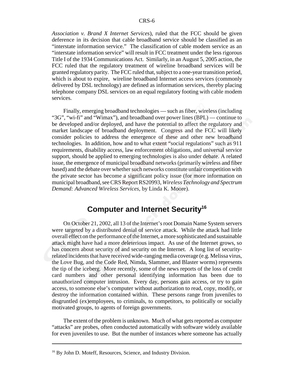*Association v. Brand X Internet Services*), ruled that the FCC should be given deference in its decision that cable broadband service should be classified as an "interstate information service." The classification of cable modem service as an "interstate information service" will result in FCC treatment under the less rigorous Title I of the 1934 Communications Act. Similarly, in an August 5, 2005 action, the FCC ruled that the regulatory treatment of wireline broadband services will be granted regulatory parity. The FCC ruled that, subject to a one-year transition period, which is about to expire, wireline broadband Internet access services (commonly delivered by DSL technology) are defined as information services, thereby placing telephone company DSL services on an equal regulatory footing with cable modem services.

Finally, emerging broadband technologies — such as fiber, wireless (including "3G", "wi-fi" and "Wimax"), and broadband over power lines (BPL) — continue to be developed and/or deployed, and have the potential to affect the regulatory and market landscape of broadband deployment. Congress and the FCC will likely consider policies to address the emergence of these and other new broadband technologies. In addition, how and to what extent "social regulations" such as 911 requirements, disability access, law enforcement obligations, and universal service support, should be applied to emerging technologies is also under debate. A related issue, the emergence of municipal broadband networks (primarily wireless and fiber based) and the debate over whether such networks constitute unfair competition with the private sector has become a significant policy issue (for more information on municipal broadband, see CRS Report RS20993, *Wireless Technology and Spectrum Demand: Advanced Wireless Services*, by Linda K. Moore).

## **Computer and Internet Security16**

On October 21, 2002, all 13 of the Internet's root Domain Name System servers were targeted by a distributed denial of service attack. While the attack had little overall effect on the performance of the Internet, a more sophisticated and sustainable attack might have had a more deleterious impact. As use of the Internet grows, so has concern about security of and security on the Internet. A long list of securityrelated incidents that have received wide-ranging media coverage (e.g. Melissa virus, the Love Bug, and the Code Red, Nimda, Slammer, and Blaster worms) represents the tip of the iceberg. More recently, some of the news reports of the loss of credit card numbers and other personal identifying information has been due to unauthorized computer intrusion. Every day, persons gain access, or try to gain access, to someone else's computer without authorization to read, copy, modify, or destroy the information contained within. These persons range from juveniles to disgruntled (ex)employees, to criminals, to competitors, to politically or socially motivated groups, to agents of foreign governments.

The extent of the problem is unknown. Much of what gets reported as computer "attacks" are probes, often conducted automatically with software widely available for even juveniles to use. But the number of instances where someone has actually

<sup>&</sup>lt;sup>16</sup> By John D. Moteff, Resources, Science, and Industry Division.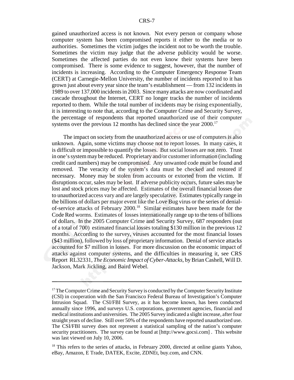gained unauthorized access is not known. Not every person or company whose computer system has been compromised reports it either to the media or to authorities. Sometimes the victim judges the incident not to be worth the trouble. Sometimes the victim may judge that the adverse publicity would be worse. Sometimes the affected parties do not even know their systems have been compromised. There is some evidence to suggest, however, that the number of incidents is increasing. According to the Computer Emergency Response Team (CERT) at Carnegie-Mellon University, the number of incidents reported to it has grown just about every year since the team's establishment — from 132 incidents in 1989 to over 137,000 incidents in 2003. Since many attacks are now coordinated and cascade throughout the Internet, CERT no longer tracks the number of incidents reported to them. While the total number of incidents may be rising exponentially, it is interesting to note that, according to the Computer Crime and Security Survey, the percentage of respondents that reported unauthorized use of their computer systems over the previous 12 months has declined since the year  $2000$ .<sup>17</sup>

The impact on society from the unauthorized access or use of computers is also unknown. Again, some victims may choose not to report losses. In many cases, it is difficult or impossible to quantify the losses. But social losses are not zero. Trust in one's system may be reduced. Proprietary and/or customer information (including credit card numbers) may be compromised. Any unwanted code must be found and removed. The veracity of the system's data must be checked and restored if necessary. Money may be stolen from accounts or extorted from the victim. If disruptions occur, sales may be lost. If adverse publicity occurs, future sales may be lost and stock prices may be affected. Estimates of the overall financial losses due to unauthorized access vary and are largely speculative. Estimates typically range in the billions of dollars per major event like the Love Bug virus or the series of denialof-service attacks of February 2000.18 Similar estimates have been made for the Code Red worms. Estimates of losses internationally range up to the tens of billions of dollars. In the 2005 Computer Crime and Security Survey, 687 responders (out of a total of 700) estimated financial losses totaling \$130 million in the previous 12 months. According to the survey, viruses accounted for the most financial losses (\$43 million), followed by loss of proprietary information. Denial of service attacks accounted for \$7 million in losses. For more discussion on the economic impact of attacks against computer systems, and the difficulties in measuring it, see CRS Report RL32331, *The Economic Impact of Cyber-Attacks*, by Brian Cashell, Will D. Jackson, Mark Jickling, and Baird Webel.

<sup>&</sup>lt;sup>17</sup> The Computer Crime and Security Survey is conducted by the Computer Security Institute (CSI) in cooperation with the San Francisco Federal Bureau of Investigation's Computer Intrusion Squad. The CSI/FBI Survey, as it has become known, has been conducted annually since 1996, and surveys U.S. corporations, government agencies, financial and medical institutions and universities. The 2005 Survey indicated a slight increase, after four straight years of decline. Still over 50% of the respondents have reported unauthorized use. The CSI/FBI survey does not represent a statistical sampling of the nation's computer security practitioners. The survey can be found at [http://www.gocsi.com]. This website was last viewed on July 10, 2006.

<sup>&</sup>lt;sup>18</sup> This refers to the series of attacks, in February 2000, directed at online giants Yahoo, eBay, Amazon, E Trade, DATEK, Excite, ZDNEt, buy.com, and CNN.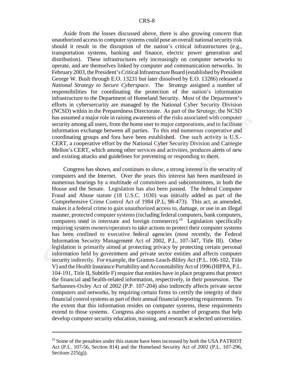Aside from the losses discussed above, there is also growing concern that unauthorized access to computer systems could pose an overall national security risk should it result in the disruption of the nation's critical infrastructures (e.g., transportation systems, banking and finance, electric power generation and distribution). These infrastructures rely increasingly on computer networks to operate, and are themselves linked by computer and communication networks. In February 2003, the President's Critical Infrastructure Board (established by President George W. Bush through E.O. 13231 but later dissolved by E.O. 13286) released a *National Strategy to Secure Cyberspace*. The *Strategy* assigned a number of responsibilities for coordinating the protection of the nation's information infrastructure to the Department of Homeland Security. Most of the Department's efforts in cybersercurity are managed by the National Cyber Security Division (NCSD) within in the Preparedness Directorate. As part of the *Strategy*, the NCSD has assumed a major role in raising awareness of the risks associated with computer security among all users, from the home user to major corporations, and to facilitate information exchange between all parties. To this end numerous cooperative and coordinating groups and fora have been established. One such activity is U.S.- CERT, a cooperative effort by the National Cyber Security Division and Carnegie Mellon's CERT, which among other services and activities, produces alerts of new and existing attacks and guidelines for preventing or responding to them.

Congress has shown, and continues to show, a strong interest in the security of computers and the Internet. Over the years this interest has been manifested in numerous hearings by a multitude of committees and subcommittees, in both the House and the Senate. Legislation has also been passed. The federal Computer Fraud and Abuse statute (18 U.S.C. 1030) was initially added as part of the Comprehensive Crime Control Act of 1984 (P.L. 98-473). This act, as amended, makes it a federal crime to gain unauthorized access to, damage, or use in an illegal manner, protected computer systems (including federal computers, bank computers, computers used in interstate and foreign commerce).19 Legislation specifically requiring system owners/operators to take actions to protect their computer systems has been confined to executive federal agencies (most recently, the Federal Information Security Management Act of 2002, P.L. 107-347, Title III). Other legislation is primarily aimed at protecting privacy by protecting certain personal information held by government and private sector entities and affects computer security indirectly. For example, the Gramm-Leach-Bliley Act (P.L. 106-102, Title V) and the Health Insurance Portability and Accountability Act of 1996 (HIPPA, P.L. 104-191, Title II, Subtitle F) require that entities have in place programs that protect the financial and health-related information, respectively, in their possession. The Sarbannes-Oxley Act of 2002 (P.P. 107-204) also indirectly affects private sector computers and networks, by requiring certain firms to certify the integrity of their financial control systems as part of their annual financial reporting requirements. To the extent that this information resides on computer systems, these requirements extend to those systems. Congress also supports a number of programs that help develop computer security education, training, and research at selected universities.

<sup>&</sup>lt;sup>19</sup> Some of the penalties under this statute have been increased by both the USA PATRIOT Act (P.L. 107-56, Section 814) and the Homeland Security Act of 2002 (P.L. 107-296, Sectiom  $225(g)$ ).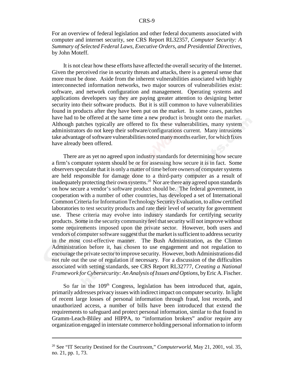For an overview of federal legislation and other federal documents associated with computer and internet security, see CRS Report RL32357, *Computer Security: A Summary of Selected Federal Laws, Executive Orders, and Presidential Directives*, by John Moteff.

It is not clear how these efforts have affected the overall security of the Internet. Given the perceived rise in security threats and attacks, there is a general sense that more must be done. Aside from the inherent vulnerabilities associated with highly interconnected information networks, two major sources of vulnerabilities exist: software, and network configuration and management. Operating systems and applications developers say they are paying greater attention to designing better security into their software products. But it is still common to have vulnerabilities found in products after they have been put on the market. In some cases, patches have had to be offered at the same time a new product is brought onto the market. Although patches typically are offered to fix these vulnerabilities, many system administrators do not keep their software/configurations current. Many intrusions take advantage of software vulnerabilities noted many months earlier, for which fixes have already been offered.

There are as yet no agreed upon industry standards for determining how secure a firm's computer system should be or for assessing how secure it is in fact. Some observers speculate that it is only a matter of time before owners of computer systems are held responsible for damage done to a third-party computer as a result of inadequately protecting their own systems.20 Nor are there any agreed upon standards on how secure a vendor's software product should be. The federal government, in cooperation with a number of other countries, has developed a set of International Common Criteria for Information Technology Security Evaluation, to allow certified laboratories to test security products and rate their level of security for government use. These criteria may evolve into industry standards for certifying security products. Some in the security community feel that security will not improve without some requirements imposed upon the private sector. However, both users and vendors of computer software suggest that the market is sufficient to address security in the most cost-effective manner. The Bush Administration, as the Clinton Administration before it, has chosen to use engagement and not regulation to encourage the private sector to improve security. However, both Administrations did not rule out the use of regulation if necessary. For a discussion of the difficulties associated with setting standards, see CRS Report RL32777, *Creating a National Framework for Cybersecurity: An Analysis of Issues and Options*, by Eric A. Fischer.

So far in the  $109<sup>th</sup>$  Congress, legislation has been introduced that, again, primarily addresses privacy issues with indirect impact on computer security. In light of recent large losses of personal information through fraud, lost records, and unauthorized access, a number of bills have been introduced that extend the requirements to safeguard and protect personal information, similar to that found in Gramm-Leach-Bliley and HIPPA, to "information brokers" and/or require any organization engaged in interstate commerce holding personal information to inform

<sup>&</sup>lt;sup>20</sup> See "IT Security Destined for the Courtroom," *Computerworld*, May 21, 2001, vol. 35, no. 21, pp. 1, 73.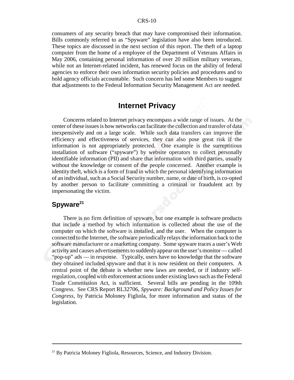consumers of any security breach that may have compromised their information. Bills commonly referred to as "Spyware" legislation have also been introduced. These topics are discussed in the next section of this report. The theft of a laptop computer from the home of a employee of the Department of Veterans Affairs in May 2006, containing personal information of over 20 million military veterans, while not an Internet-related incident, has renewed focus on the ability of federal agencies to enforce their own information security policies and procedures and to hold agency officials accountable. Such concern has led some Members to suggest that adjustments to the Federal Information Security Management Act are needed.

## **Internet Privacy**

Concerns related to Internet privacy encompass a wide range of issues. At the center of these issues is how networks can facilitate the collection and transfer of data inexpensively and on a large scale. While such data transfers can improve the efficiency and effectiveness of services, they can also pose great risk if the information is not appropriately protected. One example is the surreptitious installation of software ("spyware") by website operators to collect personally identifiable information (PII) and share that information with third parties, usually without the knowledge or consent of the people concerned. Another example is identity theft, which is a form of fraud in which the personal identifying information of an individual, such as a Social Security number, name, or date of birth, is co-opted by another person to facilitate committing a criminal or fraudulent act by impersonating the victim.

## Spyware<sup>21</sup>

 There is no firm definition of spyware, but one example is software products that include a method by which information is collected about the use of the computer on which the software is installed, and the user. When the computer is connected to the Internet, the software periodically relays the information back to the software manufacturer or a marketing company. Some spyware traces a user's Web activity and causes advertisements to suddenly appear on the user's monitor — called "pop-up" ads — in response. Typically, users have no knowledge that the software they obtained included spyware and that it is now resident on their computers. A central point of the debate is whether new laws are needed, or if industry selfregulation, coupled with enforcement actions under existing laws such as the Federal Trade Commission Act, is sufficient. Several bills are pending in the 109th Congress. See CRS Report RL32706, *Spyware: Background and Policy Issues for Congress*, by Patricia Moloney Figliola, for more information and status of the legislation.

 $21$  By Patricia Moloney Figliola, Resources, Science, and Industry Division.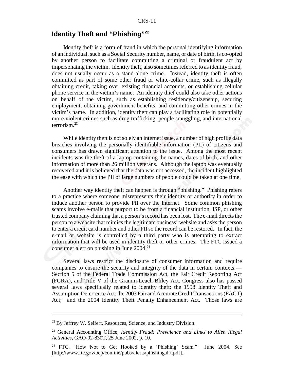## **Identity Theft and "Phishing"<sup>22</sup>**

Identity theft is a form of fraud in which the personal identifying information of an individual, such as a Social Security number, name, or date of birth, is co-opted by another person to facilitate committing a criminal or fraudulent act by impersonating the victim. Identity theft, also sometimes referred to as identity fraud, does not usually occur as a stand-alone crime. Instead, identity theft is often committed as part of some other fraud or white-collar crime, such as illegally obtaining credit, taking over existing financial accounts, or establishing cellular phone service in the victim's name. An identity thief could also take other actions on behalf of the victim, such as establishing residency/citizenship, securing employment, obtaining government benefits, and committing other crimes in the victim's name. In addition, identity theft can play a facilitating role in potentially more violent crimes such as drug trafficking, people smuggling, and international terrorism.23

While identity theft is not solely an Internet issue, a number of high profile data breaches involving the personally identifiable information (PII) of citizens and consumers has drawn significant attention to the issue. Among the most recent incidents was the theft of a laptop containing the names, dates of birth, and other information of more than 26 million veterans. Although the laptop was eventually recovered and it is believed that the data was not accessed, the incident highlighted the ease with which the PII of large numbers of people could be taken at one time.

Another way identity theft can happen is through "phishing." Phishing refers to a practice where someone misrepresents their identity or authority in order to induce another person to provide PII over the Internet. Some common phishing scams involve e-mails that purport to be from a financial institution, ISP, or other trusted company claiming that a person's record has been lost. The e-mail directs the person to a website that mimics the legitimate business' website and asks the person to enter a credit card number and other PII so the record can be restored. In fact, the e-mail or website is controlled by a third party who is attempting to extract information that will be used in identity theft or other crimes. The FTC issued a consumer alert on phishing in June 2004.<sup>24</sup>

Several laws restrict the disclosure of consumer information and require companies to ensure the security and integrity of the data in certain contexts — Section 5 of the Federal Trade Commission Act, the Fair Credit Reporting Act (FCRA), and Title V of the Gramm-Leach-Bliley Act. Congress also has passed several laws specifically related to identity theft: the 1998 Identity Theft and Assumption Deterrence Act; the 2003 Fair and Accurate Credit Transactions (FACT) Act; and the 2004 Identity Theft Penalty Enhancement Act. Those laws are

 $22$  By Jeffrey W. Seifert, Resources, Science, and Industry Division.

<sup>23</sup> General Accounting Office, *Identity Fraud: Prevalence and Links to Alien Illegal Activities*, GAO-02-830T, 25 June 2002, p. 10.

<sup>&</sup>lt;sup>24</sup> FTC. "How Not to Get Hooked by a 'Phishing' Scam." June 2004. See [http://www.ftc.gov/bcp/conline/pubs/alerts/phishingalrt.pdf].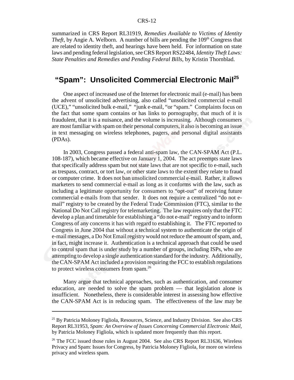#### CRS-12

summarized in CRS Report RL31919, *Remedies Available to Victims of Identity Theft*, by Angie A. Welborn. A number of bills are pending the 109<sup>th</sup> Congress that are related to identity theft, and hearings have been held. For information on state laws and pending federal legislation, see CRS Report RS22484, *Identity Theft Laws: State Penalties and Remedies and Pending Federal Bills*, by Kristin Thornblad.

## **"Spam": Unsolicited Commercial Electronic Mail<sup>25</sup>**

One aspect of increased use of the Internet for electronic mail (e-mail) has been the advent of unsolicited advertising, also called "unsolicited commercial e-mail (UCE)," "unsolicited bulk e-mail," "junk e-mail, "or "spam." Complaints focus on the fact that some spam contains or has links to pornography, that much of it is fraudulent, that it is a nuisance, and the volume is increasing. Although consumers are most familiar with spam on their personal computers, it also is becoming an issue in text messaging on wireless telephones, pagers, and personal digital assistants (PDAs).

In 2003, Congress passed a federal anti-spam law, the CAN-SPAM Act (P.L. 108-187), which became effective on January 1, 2004. The act preempts state laws that specifically address spam but not state laws that are not specific to e-mail, such as trespass, contract, or tort law, or other state laws to the extent they relate to fraud or computer crime. It does not ban unsolicited commercial e-mail. Rather, it allows marketers to send commercial e-mail as long as it conforms with the law, such as including a legitimate opportunity for consumers to "opt-out" of receiving future commercial e-mails from that sender. It does not require a centralized "do not email" registry to be created by the Federal Trade Commission (FTC), similar to the National Do Not Call registry for telemarketing. The law requires only that the FTC develop a plan and timetable for establishing a "do not e-mail" registry and to inform Congress of any concerns it has with regard to establishing it. The FTC reported to Congress in June 2004 that without a technical system to authenticate the origin of e-mail messages, a Do Not Email registry would not reduce the amount of spam, and, in fact, might increase it. Authentication is a technical approach that could be used to control spam that is under study by a number of groups, including ISPs, who are attempting to develop a single authentication standard for the industry. Additionally, the CAN-SPAM Act included a provision requiring the FCC to establish regulations to protect wireless consumers from spam.26

Many argue that technical approaches, such as authentication, and consumer education, are needed to solve the spam problem — that legislation alone is insufficient. Nonetheless, there is considerable interest in assessing how effective the CAN-SPAM Act is in reducing spam. The effectiveness of the law may be

<sup>&</sup>lt;sup>25</sup> By Patricia Moloney Figliola, Resources, Science, and Industry Division. See also CRS Report RL31953, *Spam: An Overview of Issues Concerning Commercial Electronic Mail*, by Patricia Moloney Figliola, which is updated more frequently than this report.

 $26$  The FCC issued those rules in August 2004. See also CRS Report RL31636, Wireless Privacy and Spam: Issues for Congress, by Patricia Moloney Figliola, for more on wireless privacy and wireless spam.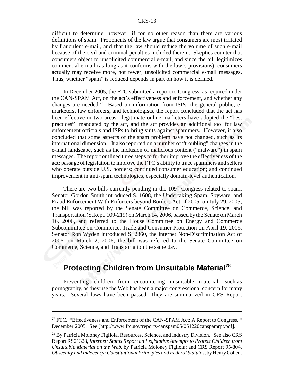difficult to determine, however, if for no other reason than there are various definitions of spam. Proponents of the law argue that consumers are most irritated by fraudulent e-mail, and that the law should reduce the volume of such e-mail because of the civil and criminal penalties included therein. Skeptics counter that consumers object to unsolicited commercial e-mail, and since the bill legitimizes commercial e-mail (as long as it conforms with the law's provisions), consumers actually may receive more, not fewer, unsolicited commercial e-mail messages. Thus, whether "spam" is reduced depends in part on how it is defined.

In December 2005, the FTC submitted a report to Congress, as required under the CAN-SPAM Act, on the act's effectiveness and enforcement, and whether any changes are needed.<sup>27</sup> Based on information from ISPs, the general public, emarketers, law enforcers, and technologists, the report concluded that the act has been effective in two areas: legitimate online marketers have adopted the "best practices" mandated by the act, and the act provides an additional tool for law enforcement officials and ISPs to bring suits against spammers. However, it also concluded that some aspects of the spam problem have not changed, such as its international dimension. It also reported on a number of "troubling" changes in the e-mail landscape, such as the inclusion of malicious content ("malware") in spam messages. The report outlined three steps to further improve the effectiveness of the act: passage of legislation to improve the FTC's ability to trace spammers and sellers who operate outside U.S. borders; continued consumer education; and continued improvement in anti-spam technologies, especially domain-level authentication.

There are two bills currently pending in the 109<sup>th</sup> Congress related to spam. Senator Gordon Smith introduced S. 1608, the Undertaking Spam, Spyware, and Fraud Enforcement With Enforcers beyond Borders Act of 2005, on July 29, 2005; the bill was reported by the Senate Committee on Commerce, Science, and Transportation (S.Rept. 109-219) on March 14, 2006, passed by the Senate on March 16, 2006, and referred to the House Committee on Energy and Commerce Subcommittee on Commerce, Trade and Consumer Protection on April 19, 2006. Senator Ron Wyden introduced S. 2360, the Internet Non-Discrimination Act of 2006, on March 2, 2006; the bill was referred to the Senate Committee on Commerce, Science, and Transportation the same day.

## **Protecting Children from Unsuitable Material<sup>28</sup>**

 Preventing children from encountering unsuitable material, such as pornography, as they use the Web has been a major congressional concern for many years. Several laws have been passed. They are summarized in CRS Report

 $27$  FTC. "Effectiveness and Enforcement of the CAN-SPAM Act: A Report to Congress." December 2005. See [http://www.ftc.gov/reports/canspam05/051220canspamrpt.pdf].

<sup>&</sup>lt;sup>28</sup> By Patricia Moloney Figliola, Resources, Science, and Industry Division. See also CRS Report RS21328, *Internet: Status Report on Legislative Attempts to Protect Children from Unsuitable Material on the Web*, by Patricia Moloney Figliola; and CRS Report 95-804, *Obscenity and Indecency: Constitutional Principles and Federal Statutes*, by Henry Cohen.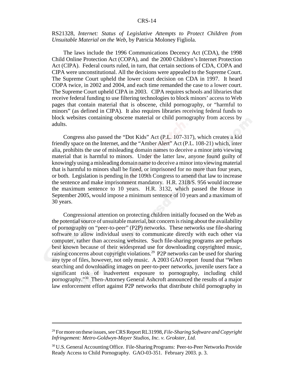#### CRS-14

#### RS21328, *Internet: Status of Legislative Attempts to Protect Children from Unsuitable Material on the Web*, by Patricia Moloney Figliola.

The laws include the 1996 Communications Decency Act (CDA), the 1998 Child Online Protection Act (COPA), and the 2000 Children's Internet Protection Act (CIPA). Federal courts ruled, in turn, that certain sections of CDA, COPA and CIPA were unconstitutional. All the decisions were appealed to the Supreme Court. The Supreme Court upheld the lower court decision on CDA in 1997. It heard COPA twice, in 2002 and 2004, and each time remanded the case to a lower court. The Supreme Court upheld CIPA in 2003. CIPA requires schools and libraries that receive federal funding to use filtering technologies to block minors' access to Web pages that contain material that is obscene, child pornography, or "harmful to minors" (as defined in CIPA). It also requires libraries receiving federal funds to block websites containing obscene material or child pornography from access by adults.

Congress also passed the "Dot Kids" Act (P.L. 107-317), which creates a kid friendly space on the Internet, and the "Amber Alert" Act (P.L. 108-21) which, inter alia, prohibits the use of misleading domain names to deceive a minor into viewing material that is harmful to minors. Under the latter law, anyone found guilty of knowingly using a misleading domain name to deceive a minor into viewing material that is harmful to minors shall be fined, or imprisoned for no more than four years, or both. Legislation is pending in the 109th Congress to amend that law to increase the sentence and make imprisonment mandatory. H.R. 2318/S. 956 would increase the maximum sentence to 10 years. H.R. 3132, which passed the House in September 2005, would impose a minimum sentence of 10 years and a maximum of 30 years.

Congressional attention on protecting children initially focused on the Web as the potential source of unsuitable material, but concern is rising about the availability of pornography on "peer-to-peer" (P2P) networks. These networks use file-sharing software to allow individual users to communicate directly with each other via computer, rather than accessing websites. Such file-sharing programs are perhaps best known because of their widespread use for downloading copyrighted music, raising concerns about copyright violations.29 P2P networks can be used for sharing any type of files, however, not only music. A 2003 GAO report found that "When searching and downloading images on peer-to-peer networks, juvenile users face a significant risk of inadvertent exposure to pornography, including child pornography."30 Then-Attorney General Ashcroft announced the results of a major law enforcement effort against P2P networks that distribute child pornography in

<sup>29</sup> For more on these issues, see CRS Report RL31998, *File-Sharing Software and Copyright Infringement: Metro-Goldwyn-Mayer Studios, Inc. v. Grokster, Ltd.*

<sup>30</sup> U.S. General Accounting Office. File-Sharing Programs: Peer-to-Peer Networks Provide Ready Access to Child Pornography. GAO-03-351. February 2003. p. 3.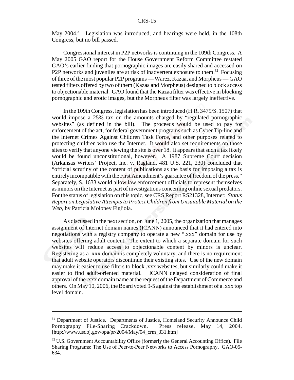May 2004.<sup>31</sup> Legislation was introduced, and hearings were held, in the 108th Congress, but no bill passed.

Congressional interest in P2P networks is continuing in the 109th Congress. A May 2005 GAO report for the House Government Reform Committee restated GAO's earlier finding that pornographic images are easily shared and accessed on P2P networks and juveniles are at risk of inadvertent exposure to them.<sup>32</sup> Focusing of three of the most popular P2P programs — Warez, Kazaa, and Morpheus — GAO tested filters offered by two of them (Kazaa and Morpheus) designed to block access to objectionable material. GAO found that the Kazaa filter was effective in blocking pornographic and erotic images, but the Morpheus filter was largely ineffective.

In the 109th Congress, legislation has been introduced (H.R. 3479/S. 1507) that would impose a 25% tax on the amounts charged by "regulated pornographic websites" (as defined in the bill). The proceeds would be used to pay for enforcement of the act, for federal government programs such as Cyber Tip-line and the Internet Crimes Against Children Task Force, and other purposes related to protecting children who use the Internet. It would also set requirements on those sites to verify that anyone viewing the site is over 18. It appears that such a tax likely would be found unconstitutional, however. A 1987 Supreme Court decision (Arkansas Writers' Project, Inc. v. Ragland, 481 U.S. 221, 230) concluded that "official scrutiny of the content of publications as the basis for imposing a tax is entirely incompatible with the First Amendment's guarantee of freedom of the press." Separately, S. 1633 would allow law enforcement officials to represent themselves as minors on the Internet as part of investigations concerning online sexual predators. For the status of legislation on this topic, see CRS Report RS21328, Internet: *Status Report on Legislative Attempts to Protect Children from Unsuitable Material on the Web*, by Patricia Moloney Figliola.

As discussed in the next section, on June 1, 2005, the organization that manages assignment of Internet domain names (ICANN) announced that it had entered into negotiations with a registry company to operate a new ".xxx" domain for use by websites offering adult content. The extent to which a separate domain for such websites will reduce access to objectionable content by minors is unclear. Registering as a .xxx domain is completely voluntary, and there is no requirement that adult website operators discontinue their existing sites. Use of the new domain may make it easier to use filters to block .xxx websites, but similarly could make it easier to find adult-oriented material. ICANN delayed consideration of final approval of the .xxx domain name at the request of the Department of Commerce and others. On May 10, 2006, the Board voted 9-5 against the establishment of a .xxx top level domain.

<sup>&</sup>lt;sup>31</sup> Department of Justice. Departments of Justice, Homeland Security Announce Child Pornography File-Sharing Crackdown. Press release, May 14, 2004. [http://www.usdoj.gov/opa/pr/2004/May/04\_crm\_331.htm]

 $32$  U.S. Government Accountability Office (formerly the General Accounting Office). File Sharing Programs: The Use of Peer-to-Peer Networks to Access Pornography. GAO-05- 634.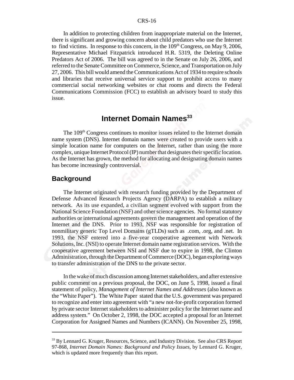In addition to protecting children from inappropriate material on the Internet, there is significant and growing concern about child predators who use the Internet to find victims. In response to this concern, in the  $109<sup>th</sup>$  Congress, on May 9, 2006, Representative Michael Fitzpatrick introduced H.R. 5319, the Deleting Online Predators Act of 2006. The bill was agreed to in the Senate on July 26, 2006, and referred to the Senate Committee on Commerce, Science, and Transportation on July 27, 2006. This bill would amend the Communications Act of 1934 to require schools and libraries that receive universal service support to prohibit access to many commercial social networking websites or chat rooms and directs the Federal Communications Commission (FCC) to establish an advisory board to study this issue.

## **Internet Domain Names<sup>33</sup>**

The 109<sup>th</sup> Congress continues to monitor issues related to the Internet domain name system (DNS). Internet domain names were created to provide users with a simple location name for computers on the Internet, rather than using the more complex, unique Internet Protocol (IP) number that designates their specific location. As the Internet has grown, the method for allocating and designating domain names has become increasingly controversial.

#### **Background**

The Internet originated with research funding provided by the Department of Defense Advanced Research Projects Agency (DARPA) to establish a military network. As its use expanded, a civilian segment evolved with support from the National Science Foundation (NSF) and other science agencies. No formal statutory authorities or international agreements govern the management and operation of the Internet and the DNS. Prior to 1993, NSF was responsible for registration of nonmilitary generic Top Level Domains (gTLDs) such as .com, .org, and .net. In 1993, the NSF entered into a five-year cooperative agreement with Network Solutions, Inc. (NSI) to operate Internet domain name registration services. With the cooperative agreement between NSI and NSF due to expire in 1998, the Clinton Administration, through the Department of Commerce (DOC), began exploring ways to transfer administration of the DNS to the private sector.

In the wake of much discussion among Internet stakeholders, and after extensive public comment on a previous proposal, the DOC, on June 5, 1998, issued a final statement of policy, *Management of Internet Names and Addresses* (also known as the "White Paper"). The White Paper stated that the U.S. government was prepared to recognize and enter into agreement with "a new not-for-profit corporation formed by private sector Internet stakeholders to administer policy for the Internet name and address system." On October 2, 1998, the DOC accepted a proposal for an Internet Corporation for Assigned Names and Numbers (ICANN). On November 25, 1998,

<sup>&</sup>lt;sup>33</sup> By Lennard G. Kruger, Resources, Science, and Industry Division. See also CRS Report 97-868, *Internet Domain Names: Background and Policy Issues*, by Lennard G. Kruger, which is updated more frequently than this report.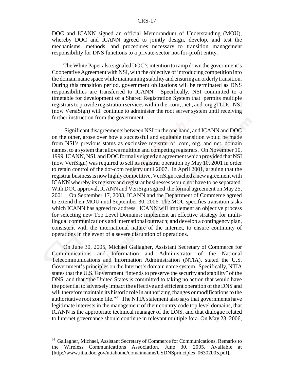DOC and ICANN signed an official Memorandum of Understanding (MOU), whereby DOC and ICANN agreed to jointly design, develop, and test the mechanisms, methods, and procedures necessary to transition management responsibility for DNS functions to a private-sector not-for-profit entity.

The White Paper also signaled DOC's intention to ramp down the government's Cooperative Agreement with NSI, with the objective of introducing competition into the domain name space while maintaining stability and ensuring an orderly transition. During this transition period, government obligations will be terminated as DNS responsibilities are transferred to ICANN. Specifically, NSI committed to a timetable for development of a Shared Registration System that permits multiple registrars to provide registration services within the .com, .net., and .org gTLDs. NSI (now VersiSign) will continue to administer the root server system until receiving further instruction from the government.

 Significant disagreements between NSI on the one hand, and ICANN and DOC on the other, arose over how a successful and equitable transition would be made from NSI's previous status as exclusive registrar of .com, org. and net. domain names, to a system that allows multiple and competing registrars. On November 10, 1999, ICANN, NSI, and DOC formally signed an agreement which provided that NSI (now VeriSign) was required to sell its registrar operation by May 10, 2001 in order to retain control of the dot-com registry until 2007. In April 2001, arguing that the registrar business is now highly competitive, VeriSign reached a new agreement with ICANN whereby its registry and registrar businesses would not have to be separated. With DOC approval, ICANN and VeriSign signed the formal agreement on May 25, 2001. On September 17, 2003, ICANN and the Department of Commerce agreed to extend their MOU until September 30, 2006. The MOU specifies transition tasks which ICANN has agreed to address. ICANN will implement an objective process for selecting new Top Level Domains; implement an effective strategy for multilingual communications and international outreach; and develop a contingency plan, consistent with the international nature of the Internet, to ensure continuity of operations in the event of a severe disruption of operations.

On June 30, 2005, Michael Gallagher, Assistant Secretary of Commerce for Communications and Information and Administrator of the National Telecommunications and Information Administration (NTIA), stated the U.S. Government's principles on the Internet's domain name system. Specifically, NTIA states that the U.S. Government "intends to preserve the security and stability" of the DNS, and that "the United States is committed to taking no action that would have the potential to adversely impact the effective and efficient operation of the DNS and will therefore maintain its historic role in authorizing changes or modifications to the authoritative root zone file."34 The NTIA statement also says that governments have legitimate interests in the management of their country code top level domains, that ICANN is the appropriate technical manager of the DNS, and that dialogue related to Internet governance should continue in relevant multiple fora. On May 23, 2006,

<sup>&</sup>lt;sup>34</sup> Gallagher, Michael, Assistant Secretary of Commerce for Communications, Remarks to the Wireless Communications Association, June 30, 2005. Available at [http://www.ntia.doc.gov/ntiahome/domainname/USDNSprinciples\_06302005.pdf].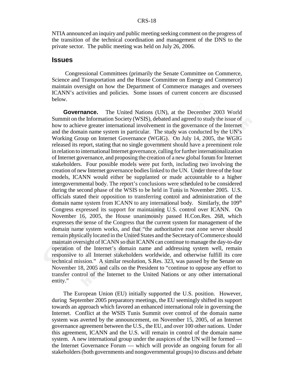NTIA announced an inquiry and public meeting seeking comment on the progress of the transition of the technical coordination and management of the DNS to the private sector. The public meeting was held on July 26, 2006.

#### **Issues**

 Congressional Committees (primarily the Senate Committee on Commerce, Science and Transportation and the House Committee on Energy and Commerce) maintain oversight on how the Department of Commerce manages and oversees ICANN's activities and policies. Some issues of current concern are discussed below.

**Governance.** The United Nations (UN), at the December 2003 World Summit on the Information Society (WSIS), debated and agreed to study the issue of how to achieve greater international involvement in the governance of the Internet and the domain name system in particular. The study was conducted by the UN's Working Group on Internet Governance (WGIG). On July 14, 2005, the WGIG released its report, stating that no single government should have a preeminent role in relation to international Internet governance, calling for further internationalization of Internet governance, and proposing the creation of a new global forum for Internet stakeholders. Four possible models were put forth, including two involving the creation of new Internet governance bodies linked to the UN. Under three of the four models, ICANN would either be supplanted or made accountable to a higher intergovernmental body. The report's conclusions were scheduled to be considered during the second phase of the WSIS to be held in Tunis in November 2005. U.S. officials stated their opposition to transferring control and administration of the domain name system from ICANN to any international body. Similarly, the 109<sup>th</sup> Congress expressed its support for maintaining U.S. control over ICANN. On November 16, 2005, the House unanimously passed H.Con.Res. 268, which expresses the sense of the Congress that the current system for management of the domain name system works, and that "the authoritative root zone server should remain physically located in the United States and the Secretary of Commerce should maintain oversight of ICANN so that ICANN can continue to manage the day-to-day operation of the Internet's domain name and addressing system well, remain responsive to all Internet stakeholders worldwide, and otherwise fulfill its core technical mission." A similar resolution, S.Res. 323, was passed by the Senate on November 18, 2005 and calls on the President to "continue to oppose any effort to transfer control of the Internet to the United Nations or any other international entity."

The European Union (EU) initially supported the U.S. position. However, during September 2005 preparatory meetings, the EU seemingly shifted its support towards an approach which favored an enhanced international role in governing the Internet. Conflict at the WSIS Tunis Summit over control of the domain name system was averted by the announcement, on November 15, 2005, of an Internet governance agreement between the U.S., the EU, and over 100 other nations. Under this agreement, ICANN and the U.S. will remain in control of the domain name system. A new international group under the auspices of the UN will be formed the Internet Governance Forum — which will provide an ongoing forum for all stakeholders (both governments and nongovernmental groups) to discuss and debate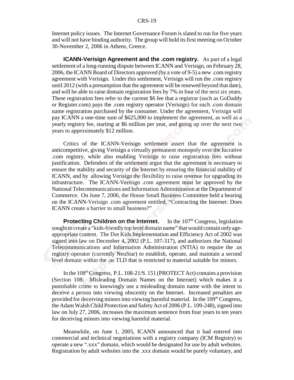Internet policy issues. The Internet Governance Forum is slated to run for five years and will not have binding authority. The group will hold its first meeting on October 30-November 2, 2006 in Athens, Greece.

**ICANN-Verisign Agreement and the .com registry.** As part of a legal settlement of a long-running dispute between ICANN and Verisign, on February 28, 2006, the ICANN Board of Directors approved (by a vote of 9-5) a new .com registry agreement with Verisign. Under this settlement, Verisign will run the .com registry until 2012 (with a presumption that the agreement will be renewed beyond that date), and will be able to raise domain registration fees by 7% in four of the next six years. These registration fees refer to the current \$6 fee that a registrar (such as GoDaddy or Register.com) pays the .com registry operator (Verisign) for each .com domain name registration purchased by the consumer. Under the agreement, Verisign will pay ICANN a one-time sum of \$625,000 to implement the agreement, as well as a yearly registry fee, starting at \$6 million per year, and going up over the next two years to approximately \$12 million.

Critics of the ICANN-Verisign settlement assert that the agreement is anticompetitive, giving Verisign a virtually permanent monopoly over the lucrative .com registry, while also enabling Verisign to raise registration fees without justification. Defenders of the settlement argue that the agreement is necessary to ensure the stability and security of the Internet by ensuring the financial stability of ICANN, and by allowing Verisign the flexibility to raise revenue for upgrading its infrastructure. The ICANN-Verisign .com agreement must be approved by the National Telecommunications and Information Administration at the Department of Commerce. On June 7, 2006, the House Small Business Committee held a hearing on the ICANN-Verisign .com agreement entitled, "Contracting the Internet: Does ICANN create a barrier to small business?"

**Protecting Children on the Internet.** In the 107<sup>th</sup> Congress, legislation sought to create a "kids-friendly top level domain name" that would contain only ageappropriate content. The Dot Kids Implementation and Efficiency Act of 2002 was signed into law on December 4, 2002 (P.L. 107-317), and authorizes the National Telecommunications and Information Administration (NTIA) to require the .us registry operator (currently NeuStar) to establish, operate, and maintain a second level domain within the .us TLD that is restricted to material suitable for minors.

In the  $108<sup>th</sup> Congress$ , P.L.  $108-21/S$ . 151 (PROTECT Act) contains a provision (Section 108: Misleading Domain Names on the Internet) which makes it a punishable crime to knowingly use a misleading domain name with the intent to deceive a person into viewing obscenity on the Internet. Increased penalties are provided for deceiving minors into viewing harmful material. In the  $109<sup>th</sup>$  Congress, the Adam Walsh Child Protection and Safety Act of 2006 (P.L. 109-248), signed into law on July 27, 2006, increases the maximum sentence from four years to ten years for deceiving minors into viewing harmful material.

Meanwhile, on June 1, 2005, ICANN announced that it had entered into commercial and technical negotiations with a registry company (ICM Registry) to operate a new ".xxx" domain, which would be designated for use by adult websites. Registration by adult websites into the .xxx domain would be purely voluntary, and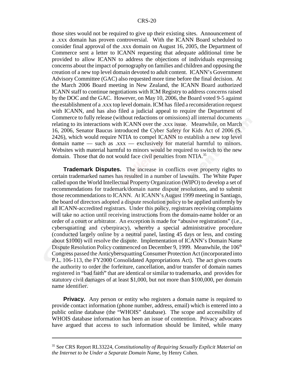those sites would not be required to give up their existing sites. Announcement of a .xxx domain has proven controversial. With the ICANN Board scheduled to consider final approval of the .xxx domain on August 16, 2005, the Department of Commerce sent a letter to ICANN requesting that adequate additional time be provided to allow ICANN to address the objections of individuals expressing concerns about the impact of pornography on families and children and opposing the creation of a new top level domain devoted to adult content. ICANN's Government Advisory Committee (GAC) also requested more time before the final decision. At the March 2006 Board meeting in New Zealand, the ICANN Board authorized ICANN staff to continue negotiations with ICM Registry to address concerns raised by the DOC and the GAC. However, on May 10, 2006, the Board voted 9-5 against the establishment of a .xxx top level domain. ICM has filed a reconsideration request with ICANN, and has also filed a judicial appeal to require the Department of Commerce to fully release (without redactions or omissions) all internal documents relating to its interactions with ICANN over the .xxx issue. Meanwhile, on March 16, 2006, Senator Baucus introduced the Cyber Safety for Kids Act of 2006 (S. 2426), which would require NTIA to compel ICANN to establish a new top level domain name — such as .xxx — exclusively for material harmful to minors. Websites with material harmful to minors would be required to switch to the new domain. Those that do not would face civil penalties from NTIA.<sup>35</sup>

**Trademark Disputes.** The increase in conflicts over property rights to certain trademarked names has resulted in a number of lawsuits. The White Paper called upon the World Intellectual Property Organization (WIPO) to develop a set of recommendations for trademark/domain name dispute resolutions, and to submit those recommendations to ICANN. At ICANN's August 1999 meeting in Santiago, the board of directors adopted a dispute resolution policy to be applied uniformly by all ICANN-accredited registrars. Under this policy, registrars receiving complaints will take no action until receiving instructions from the domain-name holder or an order of a court or arbitrator. An exception is made for "abusive registrations" (i.e., cybersquatting and cyberpiracy), whereby a special administrative procedure (conducted largely online by a neutral panel, lasting 45 days or less, and costing about \$1000) will resolve the dispute. Implementation of ICANN's Domain Name Dispute Resolution Policy commenced on December 9, 1999. Meanwhile, the 106<sup>th</sup> Congress passed the Anticybersquatting Consumer Protection Act (incorporated into P.L. 106-113, the FY2000 Consolidated Appropriations Act). The act gives courts the authority to order the forfeiture, cancellation, and/or transfer of domain names registered in "bad faith" that are identical or similar to trademarks, and provides for statutory civil damages of at least \$1,000, but not more than \$100,000, per domain name identifier.

**Privacy.** Any person or entity who registers a domain name is required to provide contact information (phone number, address, email) which is entered into a public online database (the "WHOIS" database). The scope and accessibility of WHOIS database information has been an issue of contention. Privacy advocates have argued that access to such information should be limited, while many

<sup>35</sup> See CRS Report RL33224, *Constitutionality of Requiring Sexually Explicit Material on the Internet to be Under a Separate Domain Name*, by Henry Cohen.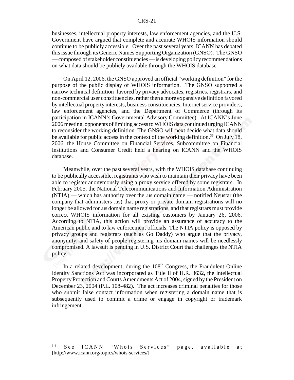#### CRS-21

businesses, intellectual property interests, law enforcement agencies, and the U.S. Government have argued that complete and accurate WHOIS information should continue to be publicly accessible. Over the past several years, ICANN has debated this issue through its Generic Names Supporting Organization (GNSO). The GNSO — composed of stakeholder constituencies — is developing policy recommendations on what data should be publicly available through the WHOIS database.

On April 12, 2006, the GNSO approved an official "working definition" for the purpose of the public display of WHOIS information. The GNSO supported a narrow technical definition favored by privacy advocates, registries, registrars, and non-commercial user constituencies, rather then a more expansive definition favored by intellectual property interests, business constituencies, Internet service providers, law enforcement agencies, and the Department of Commerce (through its participation in ICANN's Governmental Advisory Committee). At ICANN's June 2006 meeting, opponents of limiting access to WHOIS data continued urging ICANN to reconsider the working definition. The GNSO will next decide what data should be available for public access in the context of the working definition.<sup>36</sup> On July 18, 2006, the House Committee on Financial Services, Subcommittee on Financial Institutions and Consumer Credit held a hearing on ICANN and the WHOIS database.

Meanwhile, over the past several years, with the WHOIS database continuing to be publically accessible, registrants who wish to maintain their privacy have been able to register anonymously using a proxy service offered by some registrars. In February 2005, the National Telecommunications and Information Administration (NTIA) — which has authority over the .us domain name — notified Neustar (the company that administers .us) that proxy or private domain registrations will no longer be allowed for .us domain name registrations, and that registrars must provide correct WHOIS information for all existing customers by January 26, 2006. According to NTIA, this action will provide an assurance of accuracy to the American public and to law enforcement officials. The NTIA policy is opposed by privacy groups and registrars (such as Go Daddy) who argue that the privacy, anonymity, and safety of people registering .us domain names will be needlessly compromised. A lawsuit is pending in U.S. District Court that challenges the NTIA policy.

In a related development, during the  $108<sup>th</sup>$  Congress, the Fraudulent Online Identity Sanctions Act was incorporated as Title II of H.R. 3632, the Intellectual Property Protection and Courts Amendments Act of 2004, signed by the President on December 23, 2004 (P.L. 108-482). The act increases criminal penalties for those who submit false contact information when registering a domain name that is subsequently used to commit a crime or engage in copyright or trademark infringement.

<sup>3 6</sup> See ICANN "Whois Services" page, available at [http://www.icann.org/topics/whois-services/]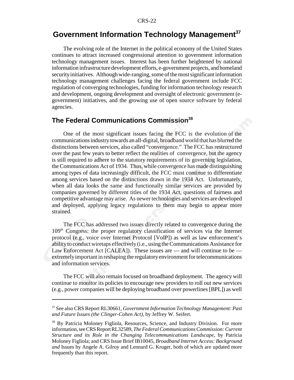## **Government Information Technology Management37**

The evolving role of the Internet in the political economy of the United States continues to attract increased congressional attention to government information technology management issues. Interest has been further heightened by national information infrastructure development efforts, e-government projects, and homeland security initiatives. Although wide-ranging, some of the most significant information technology management challenges facing the federal government include FCC regulation of converging technologies, funding for information technology research and development, ongoing development and oversight of electronic government (egovernment) initiatives, and the growing use of open source software by federal agencies.

## **The Federal Communications Commission**<sup>38</sup>

 One of the most significant issues facing the FCC is the evolution of the communications industry towards an all-digital, broadband world that has blurred the distinctions between services, also called "convergence." The FCC has restructured over the past few years to better reflect the realities of convergence, but the agency is still required to adhere to the statutory requirements of its governing legislation, the Communications Act of 1934. Thus, while convergence has made distinguishing among types of data increasingly difficult, the FCC must continue to differentiate among services based on the distinctions drawn in the 1934 Act. Unfortunately, when all data looks the same and functionally similar services are provided by companies governed by different titles of the 1934 Act, questions of fairness and competitive advantage may arise. As newer technologies and services are developed and deployed, applying legacy regulations to them may begin to appear more strained.

The FCC has addressed two issues directly related to convergence during the 109th Congress: the proper regulatory classification of services via the Internet protocol (e.g., voice over Internet Protocol [VoIP]) as well as law enforcement's ability to conduct wiretaps effectively (i.e., using the Communications Assistance for Law Enforcement Act [CALEA]). These issues are — and will continue to be extremely important in reshaping the regulatory environment for telecommunications and information services.

The FCC will also remain focused on broadband deployment. The agency will continue to monitor its policies to encourage new providers to roll out new services (e.g., power companies will be deploying broadband over powerlines [BPL]) as well

<sup>37</sup> See also CRS Report RL30661, *Government Information Technology Management: Past and Future Issues (the Clinger-Cohen Act)*, by Jeffrey W. Seifert.

<sup>38</sup> By Patricia Moloney Figliola, Resources, Science, and Industry Division. For more information, see CRS Report RL32589, *The Federal Communications Commission: Current Structure and its Role in the Changing Telecommunications Landscape*, by Patricia Moloney Figliola; and CRS Issue Brief IB10045, *Broadband Internet Access: Background and* Issues by Angele A. Gilroy and Lennard G. Kruger, both of which are updated more frequently than this report.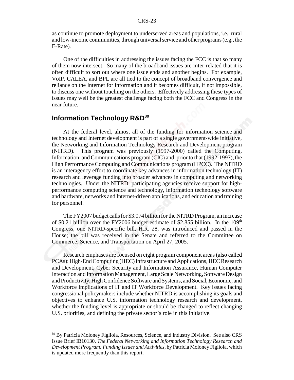as continue to promote deployment to underserved areas and populations, i.e., rural and low-income communities, through universal service and other programs (e.g., the E-Rate).

One of the difficulties in addressing the issues facing the FCC is that so many of them now intersect. So many of the broadband issues are inter-related that it is often difficult to sort out where one issue ends and another begins. For example, VoIP, CALEA, and BPL are all tied to the concept of broadband convergence and reliance on the Internet for information and it becomes difficult, if not impossible, to discuss one without touching on the others. Effectively addressing these types of issues may well be the greatest challenge facing both the FCC and Congress in the near future.

## **Information Technology R&D<sup>39</sup>**

 At the federal level, almost all of the funding for information science and technology and Internet development is part of a single government-wide initiative, the Networking and Information Technology Research and Development program (NITRD). This program was previously (1997-2000) called the Computing, Information, and Communications program (CIC) and, prior to that (1992-1997), the High Performance Computing and Communications program (HPCC). The NITRD is an interagency effort to coordinate key advances in information technology (IT) research and leverage funding into broader advances in computing and networking technologies. Under the NITRD, participating agencies receive support for highperformance computing science and technology, information technology software and hardware, networks and Internet-driven applications, and education and training for personnel.

The FY2007 budget calls for \$3.074 billion for the NITRD Program, an increase of \$0.21 billion over the FY2006 budget estimate of \$2.855 billion. In the  $109<sup>th</sup>$ Congress, one NITRD-specific bill, H.R. 28, was introduced and passed in the House; the bill was received in the Senate and referred to the Committee on Commerce, Science, and Transportation on April 27, 2005.

Research emphases are focused on eight program component areas (also called PCAs): High-End Computing (HEC) Infrastructure and Applications, HEC Research and Development, Cyber Security and Information Assurance, Human Computer Interaction and Information Management, Large Scale Networking, Software Design and Productivity, High Confidence Software and Systems, and Social, Economic, and Workforce Implications of IT and IT Workforce Development. Key issues facing congressional policymakers include whether NITRD is accomplishing its goals and objectives to enhance U.S. information technology research and development, whether the funding level is appropriate or should be changed to reflect changing U.S. priorities, and defining the private sector's role in this initiative.

<sup>&</sup>lt;sup>39</sup> By Patricia Moloney Figliola, Resources, Science, and Industry Division. See also CRS Issue Brief IB10130, *The Federal Networking and Information Technology Research and Development Program; Funding Issues and Activities*, by Patricia Moloney Figliola, which is updated more frequently than this report.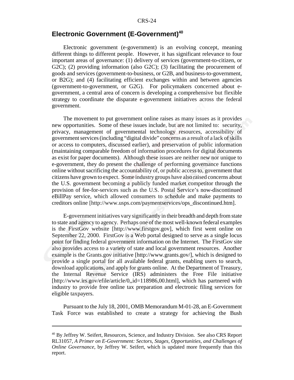## **Electronic Government (E-Government)<sup>40</sup>**

Electronic government (e-government) is an evolving concept, meaning different things to different people. However, it has significant relevance to four important areas of governance: (1) delivery of services (government-to-citizen, or G2C); (2) providing information (also G2C); (3) facilitating the procurement of goods and services (government-to-business, or G2B, and business-to-government, or B2G); and (4) facilitating efficient exchanges within and between agencies (government-to-government, or G2G). For policymakers concerned about egovernment, a central area of concern is developing a comprehensive but flexible strategy to coordinate the disparate e-government initiatives across the federal government.

The movement to put government online raises as many issues as it provides new opportunities. Some of these issues include, but are not limited to: security, privacy, management of governmental technology resources, accessibility of government services (including "digital divide" concerns as a result of a lack of skills or access to computers, discussed earlier), and preservation of public information (maintaining comparable freedom of information procedures for digital documents as exist for paper documents). Although these issues are neither new nor unique to e-government, they do present the challenge of performing governance functions online without sacrificing the accountability of, or public access to, government that citizens have grown to expect. Some industry groups have also raised concerns about the U.S. government becoming a publicly funded market competitor through the provision of fee-for-services such as the U.S. Postal Service's now-discontinued eBillPay service, which allowed consumers to schedule and make payments to creditors online [http://www.usps.com/paymentservices/ops\_discontinued.htm].

E-government initiatives vary significantly in their breadth and depth from state to state and agency to agency. Perhaps one of the most well-known federal examples is the FirstGov website [http://www.firstgov.gov], which first went online on September 22, 2000. FirstGov is a Web portal designed to serve as a single locus point for finding federal government information on the Internet. The FirstGov site also provides access to a variety of state and local government resources. Another example is the Grants.gov initiative [http://www.grants.gov/], which is designed to provide a single portal for all available federal grants, enabling users to search, download applications, and apply for grants online. At the Department of Treasury, the Internal Revenue Service (IRS) administers the Free File initiative [http://www.irs.gov/efile/article/0,,id=118986,00.html], which has partnered with industry to provide free online tax preparation and electronic filing services for eligible taxpayers.

Pursuant to the July 18, 2001, OMB Memorandum M-01-28, an E-Government Task Force was established to create a strategy for achieving the Bush

<sup>&</sup>lt;sup>40</sup> By Jeffrey W. Seifert, Resources, Science, and Industry Division. See also CRS Report RL31057, *A Primer on E-Government: Sectors, Stages, Opportunities, and Challenges of Online Governance, by Jeffrey W. Seifert, which is updated more frequently than this* report.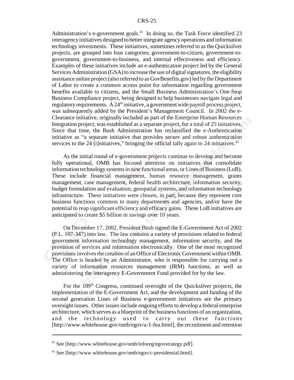Administration's e-government goals.<sup>41</sup> In doing so, the Task Force identified 23 interagency initiatives designed to better integrate agency operations and information technology investments. These initiatives, sometimes referred to as the Quicksilver projects, are grouped into four categories; government-to-citizen, government-togovernment, government-to-business, and internal effectiveness and efficiency. Examples of these initiatives include an e-authentication project led by the General Services Administration (GSA) to increase the use of digital signatures, the eligibility assistance online project (also referred to as GovBenefits.gov) led by the Department of Labor to create a common access point for information regarding government benefits available to citizens, and the Small Business Administration's One-Stop Business Compliance project, being designed to help businesses navigate legal and regulatory requirements. A  $24<sup>th</sup>$  initiative, a government wide payroll process project, was subsequently added by the President's Management Council. In 2002 the e-Clearance initiative, originally included as part of the Enterprise Human Resources Integration project, was established as a separate project, for a total of 25 initiatives. Since that time, the Bush Administration has reclassified the e-Authentication initiative as "a separate initiative that provides secure and robust authentication services to the 24 [i]nitiatives," bringing the official tally again to 24 initiatives. $42$ 

As the initial round of e-government projects continue to develop and become fully operational, OMB has focused attention on initiatives that consolidate information technology systems in nine functional areas, or Lines of Business (LoB). These include financial management, human resource management, grants management, case management, federal health architecture, information security, budget formulation and evaluation, geospatial systems, and information technology infrastructure. These initiatives were chosen, in part, because they represent core business functions common to many departments and agencies, and/or have the potential to reap significant efficiency and efficacy gains. These LoB initiatives are anticipated to create \$5 billion in savings over 10 years.

On December 17, 2002, President Bush signed the E-Government Act of 2002 (P.L. 107-347) into law. The law contains a variety of provisions related to federal government information technology management, information security, and the provision of services and information electronically. One of the most recognized provisions involves the creation of an Office of Electronic Government within OMB. The Office is headed by an Administrator, who is responsible for carrying out a variety of information resources management (IRM) functions, as well as administering the interagency E-Government Fund provided for by the law.

For the 109<sup>th</sup> Congress, continued oversight of the Quicksilver projects, the implementation of the E-Government Act, and the development and funding of the second generation Lines of Business e-government initiatives are the primary oversight issues. Other issues include ongoing efforts to develop a federal enterprise architecture, which serves as a blueprint of the business functions of an organization, and the technology used to carry out these functions [http://www.whitehouse.gov/omb/egov/a-1-fea.html]; the recruitment and retention

<sup>&</sup>lt;sup>41</sup> See [http://www.whitehouse.gov/omb/inforeg/egovstrategy.pdf].

 $42$  See [http://www.whitehouse.gov/omb/egov/c-presidential.html].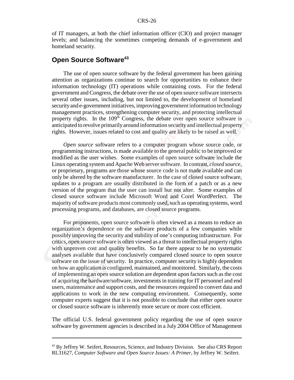of IT managers, at both the chief information officer (CIO) and project manager levels; and balancing the sometimes competing demands of e-government and homeland security.

## **Open Source Software**<sup>43</sup>

The use of open source software by the federal government has been gaining attention as organizations continue to search for opportunities to enhance their information technology (IT) operations while containing costs. For the federal government and Congress, the debate over the use of open source software intersects several other issues, including, but not limited to, the development of homeland security and e-government initiatives, improving government information technology management practices, strengthening computer security, and protecting intellectual property rights. In the 109<sup>th</sup> Congress, the debate over open source software is anticipated to revolve primarily around information security and intellectual property rights. However, issues related to cost and quality are likely to be raised as well.

*Open source* software refers to a computer program whose source code, or programming instructions, is made available to the general public to be improved or modified as the user wishes. Some examples of open source software include the Linux operating system and Apache Web server software. In contrast, *closed source*, or proprietary, programs are those whose source code is not made available and can only be altered by the software manufacturer. In the case of closed source software, updates to a program are usually distributed in the form of a patch or as a new version of the program that the user can install but not alter. Some examples of closed source software include Microsoft Word and Corel WordPerfect. The majority of software products most commonly used, such as operating systems, word processing programs, and databases, are closed source programs.

For proponents, open source software is often viewed as a means to reduce an organization's dependence on the software products of a few companies while possibly improving the security and stability of one's computing infrastructure. For critics, open source software is often viewed as a threat to intellectual property rights with unproven cost and quality benefits. So far there appear to be no systematic analyses available that have conclusively compared closed source to open source software on the issue of security. In practice, computer security is highly dependent on how an application is configured, maintained, and monitored. Similarly, the costs of implementing an open source solution are dependent upon factors such as the cost of acquiring the hardware/software, investments in training for IT personnel and end users, maintenance and support costs, and the resources required to convert data and applications to work in the new computing environment. Consequently, some computer experts suggest that it is not possible to conclude that either open source or closed source software is inherently more secure or more cost efficient.

The official U.S. federal government policy regarding the use of open source software by government agencies is described in a July 2004 Office of Management

<sup>&</sup>lt;sup>43</sup> By Jeffrey W. Seifert, Resources, Science, and Industry Division. See also CRS Report RL31627, *Computer Software and Open Source Issues: A Primer*, by Jeffrey W. Seifert.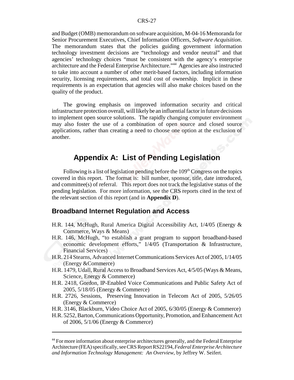and Budget (OMB) memorandum on software acquisition, M-04-16 Memoranda for Senior Procurement Executives, Chief Information Officers, *Software Acquisition*. The memorandum states that the policies guiding government information technology investment decisions are "technology and vendor neutral" and that agencies' technology choices "must be consistent with the agency's enterprise architecture and the Federal Enterprise Architecture."44 Agencies are also instructed to take into account a number of other merit-based factors, including information security, licensing requirements, and total cost of ownership. Implicit in these requirements is an expectation that agencies will also make choices based on the quality of the product.

The growing emphasis on improved information security and critical infrastructure protection overall, will likely be an influential factor in future decisions to implement open source solutions. The rapidly changing computer environment may also foster the use of a combination of open source and closed source applications, rather than creating a need to choose one option at the exclusion of another.

## **Appendix A: List of Pending Legislation**

Following is a list of legislation pending before the  $109<sup>th</sup> Congress$  on the topics covered in this report. The format is: bill number, sponsor, title, date introduced, and committee(s) of referral. This report does not track the legislative status of the pending legislation. For more information, see the CRS reports cited in the text of the relevant section of this report (and in **Appendix D**).

#### **Broadband Internet Regulation and Access**

- H.R. 144, McHugh, Rural America Digital Accessibility Act, 1/4/05 (Energy & Commerce, Ways & Means)
- H.R. 146, McHugh, "to establish a grant program to support broadband-based economic development efforts," 1/4/05 (Transportation & Infrastructure, Financial Services)
- H.R. 214 Stearns, Advanced Internet Communications Services Act of 2005, 1/14/05 (Energy &Commerce)
- H.R. 1479, Udall, Rural Access to Broadband Services Act, 4/5/05 (Ways & Means, Science, Energy & Commerce)
- H.R. 2418, Gordon, IP-Enabled Voice Communications and Public Safety Act of 2005, 5/18/05 (Energy & Commerce)
- H.R. 2726, Sessions, Preserving Innovation in Telecom Act of 2005, 5/26/05 (Energy & Commerce)
- H.R. 3146, Blackburn, Video Choice Act of 2005, 6/30/05 (Energy & Commerce)
- H.R. 5252, Barton, Communications Opportunity, Promotion, and Enhancement Act of 2006, 5/1/06 (Energy & Commerce)

<sup>&</sup>lt;sup>44</sup> For more information about enterprise architectures generally, and the Federal Enterprise Architecture (FEA) specifically, see CRS Report RS22194, *Federal Enterprise Architecture and Information Technology Management: An Overview*, by Jeffrey W. Seifert.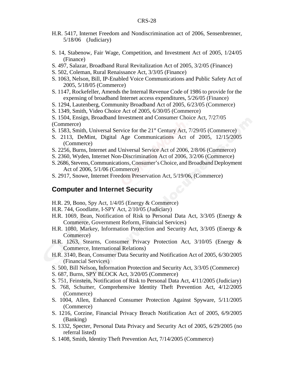- H.R. 5417, Internet Freedom and Nondiscrimination act of 2006, Sensenbrenner, 5/18/06 (Judiciary)
- S. 14, Stabenow, Fair Wage, Competition, and Investment Act of 2005, 1/24/05 (Finance)
- S. 497, Salazar, Broadband Rural Revitalization Act of 2005, 3/2/05 (Finance)
- S. 502, Coleman, Rural Renaissance Act, 3/3/05 (Finance)
- S. 1063, Nelson, Bill, IP-Enabled Voice Communications and Public Safety Act of 2005, 5/18/05 (Commerce)
- S. 1147, Rockefeller, Amends the Internal Revenue Code of 1986 to provide for the expensing of broadband Internet access expenditures, 5/26/05 (Finance)
- S. 1294, Lautenberg, Community Broadband Act of 2005, 6/23/05 (Commerce)
- S. 1349, Smith, Video Choice Act of 2005, 6/30/05 (Commerce)

S. 1504, Ensign, Broadband Investment and Consumer Choice Act, 7/27/05 (Commerce)

- S. 1583, Smith, Universal Service for the 21<sup>st</sup> Century Act, 7/29/05 (Commerce)
- S. 2113, DeMint, Digital Age Communications Act of 2005, 12/15/2005 (Commerce)
- S. 2256, Burns, Internet and Universal Service Act of 2006, 2/8/06 (Commerce)
- S. 2360, Wyden, Internet Non-Discrimination Act of 2006, 3/2/06 (Commerce)
- S. 2686, Stevens, Communications, Consumer's Choice, and Broadband Deployment Act of 2006, 5/1/06 (Commerce)
- S. 2917, Snowe, Internet Freedom Preservation Act, 5/19/06, (Commerce)

## **Computer and Internet Security**

- H.R. 29, Bono, Spy Act, 1/4/05 (Energy & Commerce)
- H.R. 744, Goodlatte, I-SPY Act, 2/10/05 (Judiciary)
- H.R. 1069, Bean, Notification of Risk to Personal Data Act, 3/3/05 (Energy & Commerce, Government Reform, Financial Services)
- H.R. 1080, Markey, Information Protection and Security Act, 3/3/05 (Energy & Commerce)
- H.R. 1263, Stearns, Consumer Privacy Protection Act, 3/10/05 (Energy & Commerce, International Relations)
- H.R. 3140, Bean, Consumer Data Security and Notification Act of 2005, 6/30/2005 (Financial Services)
- S. 500, Bill Nelson, Information Protection and Security Act, 3/3/05 (Commerce)
- S. 687, Burns, SPY BLOCK Act, 3/20/05 (Commerce)
- S. 751, Feinstein, Notification of Risk to Personal Data Act, 4/11/2005 (Judiciary)
- S. 768, Schumer, Comprehensive Identity Theft Prevention Act, 4/12/2005 (Commerce)
- S. 1004, Allen, Enhanced Consumer Protection Against Spyware, 5/11/2005 (Commerce)
- S. 1216, Corzine, Financial Privacy Breach Notification Act of 2005, 6/9/2005 (Banking)
- S. 1332, Specter, Personal Data Privacy and Security Act of 2005, 6/29/2005 (no referral listed)
- S. 1408, Smith, Identity Theft Prevention Act, 7/14/2005 (Commerce)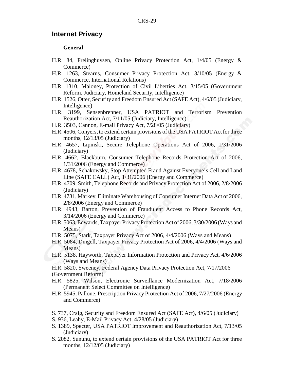#### **Internet Privacy**

#### **General**

- H.R. 84, Frelinghuysen, Online Privacy Protection Act, 1/4/05 (Energy & Commerce)
- H.R. 1263, Stearns, Consumer Privacy Protection Act, 3/10/05 (Energy & Commerce, International Relations)
- H.R. 1310, Maloney, Protection of Civil Liberties Act, 3/15/05 (Government Reform, Judiciary, Homeland Security, Intelligence)
- H.R. 1526, Otter, Security and Freedom Ensured Act (SAFE Act), 4/6/05 (Judiciary, Intelligence)
- H.R. 3199, Sensenbrenner, USA PATRIOT and Terrorism Prevention Reauthorization Act, 7/11/05 (Judiciary, Intelligence)
- H.R. 3503, Cannon, E-mail Privacy Act, 7/28/05 (Judiciary)
- H.R. 4506, Conyers, to extend certain provisions of the USA PATRIOT Act for three months, 12/13/05 (Judiciary)
- H.R. 4657, Lipinski, Secure Telephone Operations Act of 2006, 1/31/2006 (Judiciary)
- H.R. 4662, Blackburn, Consumer Telephone Records Protection Act of 2006, 1/31/2006 (Energy and Commerce)
- H.R. 4678, Schakowsky, Stop Attempted Fraud Against Everyone's Cell and Land Line (SAFE CALL) Act, 1/31/2006 (Energy and Commerce)
- H.R. 4709, Smith, Telephone Records and Privacy Protection Act of 2006, 2/8/2006 (Judiciary)
- H.R. 4731, Markey, Eliminate Warehousing of Consumer Internet Data Act of 2006, 2/8/2006 (Energy and Commerce)
- H.R. 4943, Barton, Prevention of Fraudulent Access to Phone Records Act, 3/14/2006 (Energy and Commerce)
- H.R. 5063, Edwards, Taxpayer Privacy Protection Act of 2006, 3/30/2006 (Ways and Means)
- H.R. 5075, Stark, Taxpayer Privacy Act of 2006, 4/4/2006 (Ways and Means)
- H.R. 5084, Dingell, Taxpayer Privacy Protection Act of 2006, 4/4/2006 (Ways and Means)
- H.R. 5138, Hayworth, Taxpayer Information Protection and Privacy Act, 4/6/2006 (Ways and Means)
- H.R. 5820, Sweeney, Federal Agency Data Privacy Protection Act, 7/17/2006 (Government Reform)
- H.R. 5825, Wilson, Electronic Surveillance Modernization Act, 7/18/2006 (Permanent Select Committee on Intelligence)
- H.R. 5945, Pallone, Prescription Privacy Protection Act of 2006, 7/27/2006 (Energy and Commerce)
- S. 737, Craig, Security and Freedom Ensured Act (SAFE Act), 4/6/05 (Judiciary)
- S. 936, Leahy, E-Mail Privacy Act, 4/28/05 (Judiciary)
- S. 1389, Specter, USA PATRIOT Improvement and Reauthorization Act, 7/13/05 (Judiciary)
- S. 2082, Sununu, to extend certain provisions of the USA PATRIOT Act for three months, 12/12/05 (Judiciary)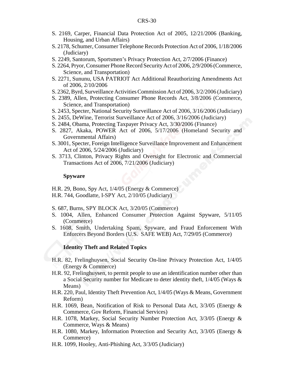- S. 2169, Carper, Financial Data Protection Act of 2005, 12/21/2006 (Banking, Housing, and Urban Affairs)
- S. 2178, Schumer, Consumer Telephone Records Protection Act of 2006, 1/18/2006 (Judiciary)
- S. 2249, Santorum, Sportsmen's Privacy Protection Act, 2/7/2006 (Finance)
- S. 2264, Pryor, Consumer Phone Record Security Act of 2006, 2/9/2006 (Commerce, Science, and Transportation)
- S. 2271, Sununu, USA PATRIOT Act Additional Reauthorizing Amendments Act of 2006, 2/10/2006
- S. 2362, Byrd, Surveillance Activities Commission Act of 2006, 3/2/2006 (Judiciary)
- S. 2389, Allen, Protecting Consumer Phone Records Act, 3/8/2006 (Commerce, Science, and Transportation)
- S. 2453, Specter, National Security Surveillance Act of 2006, 3/16/2006 (Judiciary)
- S. 2455, DeWine, Terrorist Surveillance Act of 2006, 3/16/2006 (Judiciary)
- S. 2484, Obama, Protecting Taxpayer Privacy Act, 3/30/2006 (Finance)
- S. 2827, Akaka, POWER Act of 2006, 5/17/2006 (Homeland Security and Governmental Affairs)
- S. 3001, Specter, Foreign Intelligence Surveillance Improvement and Enhancement Act of 2006, 5/24/2006 (Judiciary)
- S. 3713, Clinton, Privacy Rights and Oversight for Electronic and Commercial Transactions Act of 2006, 7/21/2006 (Judiciary)

#### **Spyware**

H.R. 29, Bono, Spy Act, 1/4/05 (Energy & Commerce)

H.R. 744, Goodlatte, I-SPY Act, 2/10/05 (Judiciary)

S. 687, Burns, SPY BLOCK Act, 3/20/05 (Commerce)

- S. 1004, Allen, Enhanced Consumer Protection Against Spyware, 5/11/05 (Commerce)
- S. 1608, Smith, Undertaking Spam, Spyware, and Fraud Enforcement With Enforcers Beyond Borders (U.S. SAFE WEB) Act, 7/29/05 (Commerce)

#### **Identity Theft and Related Topics**

- H.R. 82, Frelinghuysen, Social Security On-line Privacy Protection Act, 1/4/05 (Energy & Commerce)
- H.R. 92, Frelinghuysen, to permit people to use an identification number other than a Social Security number for Medicare to deter identity theft, 1/4/05 (Ways & Means)
- H.R. 220, Paul, Identity Theft Prevention Act, 1/4/05 (Ways & Means, Government Reform)
- H.R. 1069, Bean, Notification of Risk to Personal Data Act, 3/3/05 (Energy & Commerce, Gov Reform, Financial Services)
- H.R. 1078, Markey, Social Security Number Protection Act, 3/3/05 (Energy & Commerce, Ways & Means)
- H.R. 1080, Markey, Information Protection and Security Act, 3/3/05 (Energy & Commerce)
- H.R. 1099, Hooley, Anti-Phishing Act, 3/3/05 (Judiciary)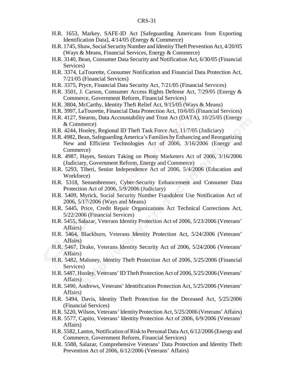- H.R. 1653, Markey, SAFE-ID Act [Safeguarding Americans from Exporting Identification Data], 4/14/05 (Energy & Commerce)
- H.R. 1745, Shaw, Social Security Number and Identity Theft Prevention Act, 4/20/05 (Ways & Means, Financial Services, Energy & Commerce)
- H.R. 3140, Bean, Consumer Data Security and Notification Act, 6/30/05 (Financial Services)
- H.R. 3374, LaTourette, Consumer Notification and Financial Data Protection Act, 7/21/05 (Financial Services)
- H.R. 3375, Pryce, Financial Data Security Act, 7/21/05 (Financial Services)
- H.R. 3501, J. Carson, Consumer Access Rights Defense Act, 7/29/05 (Energy & Commerce, Government Reform, Financial Services)
- H.R. 3804, McCarthy, Identity Theft Relief Act, 9/15/05 (Ways & Means)
- H.R. 3997, LaTourette, Financial Data Protection Act, 10/6/05 (Financial Services)
- H.R. 4127, Stearns, Data Accountability and Trust Act (DATA), 10/25/05 (Energy & Commerce)
- H.R. 4244, Hooley, Regional ID Theft Task Force Act, 11/7/05 (Judiciary)
- H.R. 4982, Bean, Safeguarding America's Families by Enhancing and Reorganizing New and Efficient Technologies Act of 2006, 3/16/2006 (Energy and Commerce)
- H.R. 4987, Hayes, Seniors Taking on Phony Marketers Act of 2006, 3/16/2006 (Judiciary, Government Reform, Energy and Commerce)
- H.R. 5293, Tiberi, Senior Independence Act of 2006, 5/4/2006 (Education and Workforce)
- H.R. 5318, Sensenbrenner, Cyber-Security Enhancement and Consumer Data Protection Act of 2006, 5/9/2006 (Judiciary)
- H.R. 5409, Myrick, Social Security Number Fraudulent Use Notification Act of 2006, 5/17/2006 (Ways and Means)
- H.R. 5445, Price, Credit Repair Organizations Act Technical Corrections Act, 5/22/2006 (Financial Services)
- H.R. 5455, Salazar, Veterans Identity Protection Act of 2006, 5/23/2006 (Veterans' Affairs)
- H.R. 5464, Blackburn, Veterans Identity Protection Act, 5/24/2006 (Veterans' Affairs)
- H.R. 5467, Drake, Veterans Identity Security Act of 2006, 5/24/2006 (Veterans' Affairs)
- H.R. 5482, Maloney, Identity Theft Protection Act of 2006, 5/25/2006 (Financial Services)
- H.R. 5487, Hooley, Veterans' ID Theft Protection Act of 2006, 5/25/2006 (Veterans' Affairs)
- H.R. 5490, Andrews, Veterans' Identification Protection Act, 5/25/2006 (Veterans' Affairs)
- H.R. 5494, Davis, Identity Theft Protection for the Deceased Act, 5/25/2006 (Financial Services)
- H.R. 5220, Wilson, Veterans' Identity Protection Act, 5/25/2006 (Veterans' Affairs)
- H.R. 5577, Capito, Veterans' Identity Protection Act of 2006, 6/9/2006 (Veterans' Affairs)
- H.R. 5582, Lantos, Notification of Risk to Personal Data Act, 6/12/2006 (Energy and Commerce, Government Reform, Financial Services)
- H.R. 5588, Salazar, Comprehensive Veterans' Data Protection and Identity Theft Prevention Act of 2006, 6/12/2006 (Veterans' Affairs)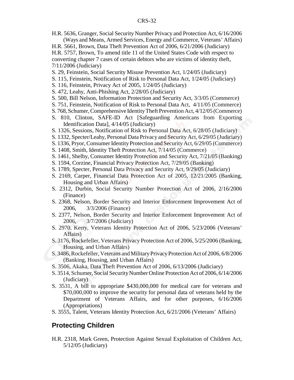H.R. 5636, Granger, Social Security Number Privacy and Protection Act, 6/16/2006 (Ways and Means, Armed Services, Energy and Commerce, Veterans' Affairs)

H.R. 5661, Brown, Data Theft Prevention Act of 2006, 6/21/2006 (Judiciary)

H.R. 5757, Brown, To amend title 11 of the United States Code with respect to converting chapter 7 cases of certain debtors who are victims of identity theft, 7/11/2006 (Judiciary)

- S. 29, Feinstein, Social Security Misuse Prevention Act, 1/24/05 (Judiciary)
- S. 115, Feinstein, Notification of Risk to Personal Data Act, 1/24/05 (Judiciary)
- S. 116, Feinstein, Privacy Act of 2005, 1/24/05 (Judiciary)
- S. 472, Leahy, Anti-Phishing Act, 2/28/05 (Judiciary)
- S. 500, Bill Nelson, Information Protection and Security Act, 3/3/05 (Commerce)
- S. 751, Feinstein, Notification of Risk to Personal Data Act, 4/11/05 (Commerce)
- S. 768, Schumer, Comprehensive Identity Theft Prevention Act, 4/12/05 (Commerce)
- S. 810, Clinton, SAFE-ID Act [Safeguarding Americans from Exporting Identification Data], 4/14/05 (Judiciary)
- S. 1326, Sessions, Notification of Risk to Personal Data Act, 6/28/05 (Judiciary)
- S. 1332, Specter/Leahy, Personal Data Privacy and Security Act, 6/29/05 (Judiciary)
- S. 1336, Pryor, Consumer Identity Protection and Security Act, 6/29/05 (Commerce)
- S. 1408, Smith, Identity Theft Protection Act, 7/14/05 (Commerce)
- S. 1461, Shelby, Consumer Identity Protection and Security Act, 7/21/05 (Banking)
- S. 1594, Corzine, Financial Privacy Protection Act, 7/29/05 (Banking)
- S. 1789, Specter, Personal Data Privacy and Security Act, 9/29/05 (Judiciary)
- S. 2169, Carper, Financial Data Protection Act of 2005, 12/21/2005 (Banking, Housing and Urban Affairs)
- S. 2312, Durbin, Social Security Number Protection Act of 2006, 2/16/2006 (Finance)
- S. 2368, Nelson, Border Security and Interior Enforcement Improvement Act of 2006, 3/3/2006 (Finance)
- S. 2377, Nelson, Border Security and Interior Enforcement Improvement Act of 2006, 3/7/2006 (Judiciary)
- S. 2970, Kerry, Veterans Identity Protection Act of 2006, 5/23/2006 (Veterans' Affairs)
- S. 3176, Rockefeller, Veterans Privacy Protection Act of 2006, 5/25/2006 (Banking, Housing, and Urban Affairs)
- S. 3486, Rockefeller, Veterans and Military Privacy Protection Act of 2006, 6/8/2006 (Banking, Housing, and Urban Affairs)
- S. 3506, Akaka, Data Theft Prevention Act of 2006, 6/13/2006 (Judiciary)
- S. 3514, Schumer, Social Security Number Online Protection Act of 2006, 6/14/2006 (Judiciary)
- S. 3531, A bill to appropriate \$430,000,000 for medical care for veterans and \$70,000,000 to improve the security for personal data of veterans held by the Department of Veterans Affairs, and for other purposes, 6/16/2006 (Appropriations)
- S. 3555, Talent, Veterans Identity Protection Act, 6/21/2006 (Veterans' Affairs)

## **Protecting Children**

H.R. 2318, Mark Green, Protection Against Sexual Exploitation of Children Act, 5/12/05 (Judiciary)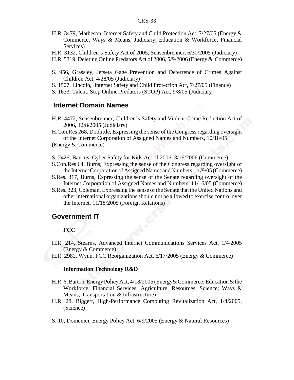- H.R. 3479, Matheson, Internet Safety and Child Protection Act, 7/27/05 (Energy & Commerce, Ways & Means, Judiciary, Education & Workforce, Financial Services)
- H.R. 3132, Children's Safety Act of 2005, Sensenbrenner, 6/30/2005 (Judiciary)
- H.R. 5319, Deleting Online Predators Act of 2006, 5/9/2006 (Energy & Commerce)
- S. 956, Grassley, Jetseta Gage Prevention and Deterrence of Crimes Against Children Act, 4/28/05 (Judiciary)
- S. 1507, Lincoln, Internet Safety and Child Protection Act, 7/27/05 (Finance)
- S. 1633, Talent, Stop Online Predators (STOP) Act, 9/8/05 (Judiciary)

#### **Internet Domain Names**

 H.R. 4472, Sensenbrenner, Children's Safety and Violent Crime Reduction Act of 2006, 12/8/2005 (Judiciary)

H.Con.Res 268, Doolittle, Expressing the sense of the Congress regarding oversight of the Internet Corporation of Assigned Names and Numbers, 10/18/05

- S. 2426, Baucus, Cyber Safety for Kids Act of 2006, 3/16/2006 (Commerce)
- S.Con.Res 64, Burns, Expressing the sense of the Congress regarding oversight of the Internet Corporation of Assigned Names and Numbers, 11/9/05 (Commerce)
- S.Res. 317, Burns, Expressing the sense of the Senate regarding oversight of the Internet Corporation of Assigned Names and Numbers, 11/16/05 (Commerce)
- S.Res. 323, Coleman, Expressing the sense of the Senate that the United Nations and other international organizations should not be allowed to exercise control over the Internet, 11/18/2005 (Foreign Relations)

#### **Government IT**

#### **FCC**

- H.R. 214, Stearns, Advanced Internet Communications Services Act, 1/4/2005 (Energy & Commerce)
- H.R. 2982, Wynn, FCC Reorganization Act, 6/17/2005 (Energy & Commerce)

#### **Information Technology R&D**

- H.R. 6, Barton, Energy Policy Act, 4/18/2005 (Energy& Commerce; Education & the Workforce; Financial Services; Agriculture; Resources; Science; Ways & Means; Transportation & Infrastructure)
- H.R. 28, Biggert, High-Performance Computing Revitalization Act, 1/4/2005, (Science)
- S. 10, Domenici, Energy Policy Act, 6/9/2005 (Energy & Natural Resources)

<sup>(</sup>Energy & Commerce)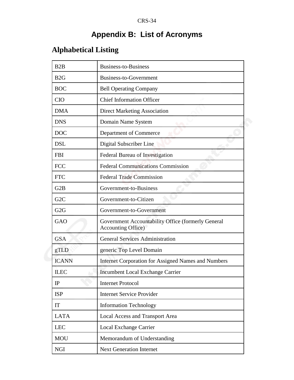# **Appendix B: List of Acronyms**

# **Alphabetical Listing**

| B2B              | <b>Business-to-Business</b>                                                      |
|------------------|----------------------------------------------------------------------------------|
| B2G              | Business-to-Government                                                           |
| <b>BOC</b>       | <b>Bell Operating Company</b>                                                    |
| <b>CIO</b>       | <b>Chief Information Officer</b>                                                 |
| <b>DMA</b>       | <b>Direct Marketing Association</b>                                              |
| <b>DNS</b>       | Domain Name System                                                               |
| <b>DOC</b>       | Department of Commerce                                                           |
| <b>DSL</b>       | Digital Subscriber Line                                                          |
| <b>FBI</b>       | Federal Bureau of Investigation                                                  |
| <b>FCC</b>       | <b>Federal Communications Commission</b>                                         |
| <b>FTC</b>       | <b>Federal Trade Commission</b>                                                  |
| G2B              | Government-to-Business                                                           |
| G <sub>2</sub> C | Government-to-Citizen                                                            |
| G <sub>2</sub> G | Government-to-Government                                                         |
| GAO              | Government Accountability Office (formerly General<br><b>Accounting Office</b> ) |
| <b>GSA</b>       | <b>General Services Administration</b>                                           |
| gTLD             | generic Top Level Domain                                                         |
| <b>ICANN</b>     | <b>Internet Corporation for Assigned Names and Numbers</b>                       |
| <b>ILEC</b>      | <b>Incumbent Local Exchange Carrier</b>                                          |
| IP               | <b>Internet Protocol</b>                                                         |
| <b>ISP</b>       | <b>Internet Service Provider</b>                                                 |
| <b>IT</b>        | <b>Information Technology</b>                                                    |
| <b>LATA</b>      | <b>Local Access and Transport Area</b>                                           |
| <b>LEC</b>       | Local Exchange Carrier                                                           |
| <b>MOU</b>       | Memorandum of Understanding                                                      |
| <b>NGI</b>       | <b>Next Generation Internet</b>                                                  |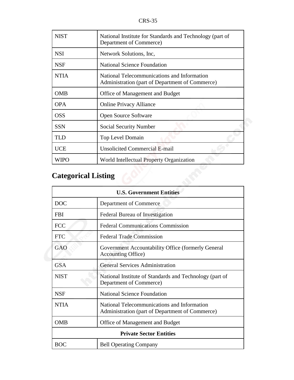| <b>NIST</b> | National Institute for Standards and Technology (part of<br>Department of Commerce)            |
|-------------|------------------------------------------------------------------------------------------------|
| <b>NSI</b>  | Network Solutions, Inc.                                                                        |
| <b>NSF</b>  | <b>National Science Foundation</b>                                                             |
| <b>NTIA</b> | National Telecommunications and Information<br>Administration (part of Department of Commerce) |
| <b>OMB</b>  | Office of Management and Budget                                                                |
| <b>OPA</b>  | <b>Online Privacy Alliance</b>                                                                 |
| <b>OSS</b>  | Open Source Software                                                                           |
| <b>SSN</b>  | <b>Social Security Number</b>                                                                  |
| <b>TLD</b>  | Top Level Domain                                                                               |
| <b>UCE</b>  | <b>Unsolicited Commercial E-mail</b>                                                           |
| WIPO        | World Intellectual Property Organization                                                       |

# **Categorical Listing**

| <b>U.S. Government Entities</b> |                                                                                                |  |
|---------------------------------|------------------------------------------------------------------------------------------------|--|
| <b>DOC</b>                      | Department of Commerce                                                                         |  |
| <b>FBI</b>                      | Federal Bureau of Investigation                                                                |  |
| <b>FCC</b>                      | <b>Federal Communications Commission</b>                                                       |  |
| <b>FTC</b>                      | <b>Federal Trade Commission</b>                                                                |  |
| GAO                             | Government Accountability Office (formerly General<br><b>Accounting Office</b> )               |  |
| <b>GSA</b>                      | <b>General Services Administration</b>                                                         |  |
| <b>NIST</b>                     | National Institute of Standards and Technology (part of<br>Department of Commerce)             |  |
| <b>NSF</b>                      | <b>National Science Foundation</b>                                                             |  |
| <b>NTIA</b>                     | National Telecommunications and Information<br>Administration (part of Department of Commerce) |  |
| <b>OMB</b>                      | Office of Management and Budget                                                                |  |
| <b>Private Sector Entities</b>  |                                                                                                |  |
| <b>BOC</b>                      | <b>Bell Operating Company</b>                                                                  |  |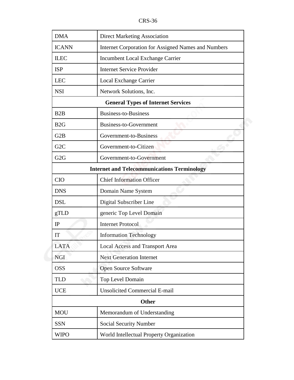| <b>DMA</b>                                         | <b>Direct Marketing Association</b>                 |
|----------------------------------------------------|-----------------------------------------------------|
| <b>ICANN</b>                                       | Internet Corporation for Assigned Names and Numbers |
| <b>ILEC</b>                                        | <b>Incumbent Local Exchange Carrier</b>             |
| <b>ISP</b>                                         | <b>Internet Service Provider</b>                    |
| <b>LEC</b>                                         | Local Exchange Carrier                              |
| <b>NSI</b>                                         | Network Solutions, Inc.                             |
|                                                    | <b>General Types of Internet Services</b>           |
| B <sub>2</sub> B                                   | <b>Business-to-Business</b>                         |
| B <sub>2G</sub>                                    | Business-to-Government                              |
| G <sub>2</sub> B                                   | Government-to-Business                              |
| G <sub>2</sub> C                                   | Government-to-Citizen                               |
| G <sub>2</sub> G                                   | Government-to-Government                            |
| <b>Internet and Telecommunications Terminology</b> |                                                     |
| <b>CIO</b>                                         | <b>Chief Information Officer</b>                    |
| <b>DNS</b>                                         | Domain Name System                                  |
| <b>DSL</b>                                         | Digital Subscriber Line                             |
| gTLD                                               | generic Top Level Domain                            |
| IP                                                 | <b>Internet Protocol</b>                            |
| <b>IT</b>                                          | <b>Information Technology</b>                       |
| <b>LATA</b>                                        | <b>Local Access and Transport Area</b>              |
| <b>NGI</b>                                         | <b>Next Generation Internet</b>                     |
| <b>OSS</b>                                         | <b>Open Source Software</b>                         |
| <b>TLD</b>                                         | Top Level Domain                                    |
| <b>UCE</b>                                         | <b>Unsolicited Commercial E-mail</b>                |
|                                                    | <b>Other</b>                                        |
| <b>MOU</b>                                         | Memorandum of Understanding                         |
| <b>SSN</b>                                         | <b>Social Security Number</b>                       |
| <b>WIPO</b>                                        | World Intellectual Property Organization            |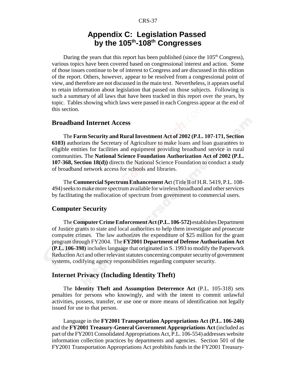## **Appendix C: Legislation Passed by the 105th-108th Congresses**

During the years that this report has been published (since the  $105<sup>th</sup>$  Congress), various topics have been covered based on congressional interest and action. Some of those issues continue to be of interest to Congress and are discussed in this edition of the report. Others, however, appear to be resolved from a congressional point of view, and therefore are not discussed in the main text. Nevertheless, it appears useful to retain information about legislation that passed on those subjects. Following is such a summary of all laws that have been tracked in this report over the years, by topic. Tables showing which laws were passed in each Congress appear at the end of this section.

#### **Broadband Internet Access**

The **Farm Security and Rural Investment Act of 2002 (P.L. 107-171, Section 6103)** authorizes the Secretary of Agriculture to make loans and loan guarantees to eligible entities for facilities and equipment providing broadband service in rural communities. The **National Science Foundation Authorization Act of 2002 (P.L. 107-368, Section 18(d))** directs the National Science Foundation to conduct a study of broadband network access for schools and libraries.

The **Commercial Spectrum Enhancement Ac**t (Title II of H.R. 5419, P.L. 108- 494) seeks to make more spectrum available for wireless broadband and other services by facilitating the reallocation of spectrum from government to commercial users.

#### **Computer Security**

The **Computer Crime Enforcement Act (P.L. 106-572)** establishes Department of Justice grants to state and local authorities to help them investigate and prosecute computer crimes. The law authorizes the expenditure of \$25 million for the grant program through FY2004. The **FY2001 Department of Defense Authorization Act (P.L. 106-398)** includes language that originated in S. 1993 to modify the Paperwork Reduction Act and other relevant statutes concerning computer security of government systems, codifying agency responsibilities regarding computer security.

#### **Internet Privacy (Including Identity Theft)**

The **Identity Theft and Assumption Deterrence Act** (P.L. 105-318) sets penalties for persons who knowingly, and with the intent to commit unlawful activities, possess, transfer, or use one or more means of identification not legally issued for use to that person.

Language in the **FY2001 Transportation Appropriations Act (P.L. 106-246)** and the **FY2001 Treasury-General Government Appropriations Act** (included as part of the FY2001 Consolidated Appropriations Act, P.L. 106-554) addresses website information collection practices by departments and agencies. Section 501 of the FY2001 Transportation Appropriations Act prohibits funds in the FY2001 Treasury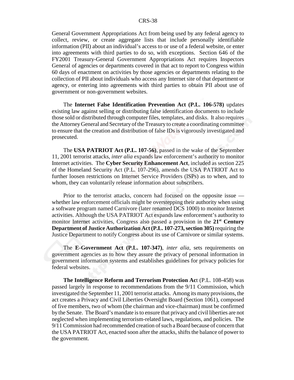General Government Appropriations Act from being used by any federal agency to collect, review, or create aggregate lists that include personally identifiable information (PII) about an individual's access to or use of a federal website, or enter into agreements with third parties to do so, with exceptions. Section 646 of the FY2001 Treasury-General Government Appropriations Act requires Inspectors General of agencies or departments covered in that act to report to Congress within 60 days of enactment on activities by those agencies or departments relating to the collection of PII about individuals who access any Internet site of that department or agency, or entering into agreements with third parties to obtain PII about use of government or non-government websites.

The **Internet False Identification Prevention Act (P.L. 106-578)** updates existing law against selling or distributing false identification documents to include those sold or distributed through computer files, templates, and disks. It also requires the Attorney General and Secretary of the Treasury to create a coordinating committee to ensure that the creation and distribution of false IDs is vigorously investigated and prosecuted.

The **USA PATRIOT Act (P.L. 107-56)**, passed in the wake of the September 11, 2001 terrorist attacks, *inter alia* expands law enforcement's authority to monitor Internet activities. The **Cyber Security Enhancement Act**, included as section 225 of the Homeland Security Act (P.L. 107-296), amends the USA PATRIOT Act to further loosen restrictions on Internet Service Providers (ISPs) as to when, and to whom, they can voluntarily release information about subscribers.

Prior to the terrorist attacks, concern had focused on the opposite issue whether law enforcement officials might be overstepping their authority when using a software program named Carnivore (later renamed DCS 1000) to monitor Internet activities. Although the USA PATRIOT Act expands law enforcement's authority to monitor Internet activities, Congress also passed a provision in the **21st Century Department of Justice Authorization Act (P.L. 107-273, section 305)** requiring the Justice Department to notify Congress about its use of Carnivore or similar systems.

The **E-Government Act (P.L. 107-347)**, *inter alia*, sets requirements on government agencies as to how they assure the privacy of personal information in government information systems and establishes guidelines for privacy policies for federal websites.

**The Intelligence Reform and Terrorism Protection Ac**t (P.L. 108-458) was passed largely in response to recommendations from the 9/11 Commission, which investigated the September 11, 2001 terrorist attacks. Among its many provisions, the act creates a Privacy and Civil Liberties Oversight Board (Section 1061), composed of five members, two of whom (the chairman and vice-chairman) must be confirmed by the Senate. The Board's mandate is to ensure that privacy and civil liberties are not neglected when implementing terrorism-related laws, regulations, and policies. The 9/11 Commission had recommended creation of such a Board because of concern that the USA PATRIOT Act, enacted soon after the attacks, shifts the balance of power to the government.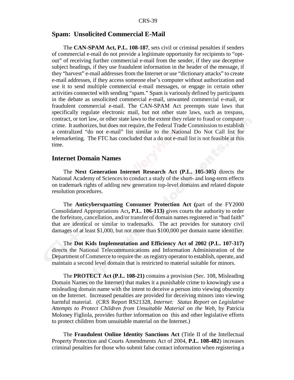#### **Spam: Unsolicited Commercial E-Mail**

The **CAN-SPAM Act, P.L. 108-187**, sets civil or criminal penalties if senders of commercial e-mail do not provide a legitimate opportunity for recipients to "optout" of receiving further commercial e-mail from the sender, if they use deceptive subject headings, if they use fraudulent information in the header of the message, if they "harvest" e-mail addresses from the Internet or use "dictionary attacks" to create e-mail addresses, if they access someone else's computer without authorization and use it to send multiple commercial e-mail messages, or engage in certain other activities connected with sending "spam." Spam is variously defined by participants in the debate as unsolicited commercial e-mail, unwanted commercial e-mail, or fraudulent commercial e-mail. The CAN-SPAM Act preempts state laws that specifically regulate electronic mail, but not other state laws, such as trespass, contract, or tort law, or other state laws to the extent they relate to fraud or computer crime. It authorizes, but does not require, the Federal Trade Commission to establish a centralized "do not e-mail" list similar to the National Do Not Call list for telemarketing. The FTC has concluded that a do not e-mail list is not feasible at this time.

#### **Internet Domain Names**

The **Next Generation Internet Research Act (P.L. 105-305)** directs the National Academy of Sciences to conduct a study of the short- and long-term effects on trademark rights of adding new generation top-level domains and related dispute resolution procedures.

The **Anticybersquatting Consumer Protection Act (**part of the FY2000 Consolidated Appropriations Act**, P.L. 106-113)** gives courts the authority to order the forfeiture, cancellation, and/or transfer of domain names registered in "bad faith" that are identical or similar to trademarks. The act provides for statutory civil damages of at least \$1,000, but not more than \$100,000 per domain name identifier.

The **Dot Kids Implementation and Efficiency Act of 2002 (P.L. 107-317)** directs the National Telecommunications and Information Administration of the Department of Commerce to require the .us registry operator to establish, operate, and maintain a second level domain that is restricted to material suitable for minors.

The **PROTECT Act (P.L. 108-21)** contains a provision (Sec. 108, Misleading Domain Names on the Internet) that makes it a punishable crime to knowingly use a misleading domain name with the intent to deceive a person into viewing obscenity on the Internet. Increased penalties are provided for deceiving minors into viewing harmful material. (CRS Report RS21328, *Internet: Status Report on Legislative Attempts to Protect Children from Unsuitable Material on the Web*, by Patricia Moloney Figliola, provides further information on this and other legislative efforts to protect children from unsuitable material on the Internet.)

The **Fraudulent Online Identity Sanctions Act** (Title II of the Intellectual Property Protection and Courts Amendments Act of 2004, **P.L. 108-482**) increases criminal penalties for those who submit false contact information when registering a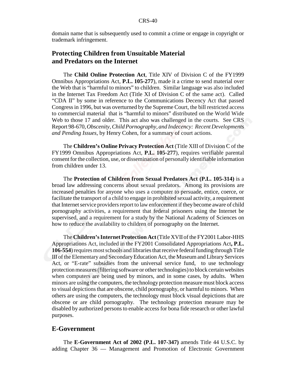domain name that is subsequently used to commit a crime or engage in copyright or trademark infringement.

## **Protecting Children from Unsuitable Material and Predators on the Internet**

The **Child Online Protection Act**, Title XIV of Division C of the FY1999 Omnibus Appropriations Act, **P.L. 105-277**), made it a crime to send material over the Web that is "harmful to minors" to children. Similar language was also included in the Internet Tax Freedom Act (Title XI of Division C of the same act). Called "CDA II" by some in reference to the Communications Decency Act that passed Congress in 1996, but was overturned by the Supreme Court, the bill restricted access to commercial material that is "harmful to minors" distributed on the World Wide Web to those 17 and older. This act also was challenged in the courts. See CRS Report 98-670, *Obscenity, Child Pornography, and Indecency: Recent Developments and Pending Issues*, by Henry Cohen, for a summary of court actions.

The **Children's Online Privacy Protection Act** (Title XIII of Division C of the FY1999 Omnibus Appropriations Act, **P.L. 105-277**), requires verifiable parental consent for the collection, use, or dissemination of personally identifiable information from children under 13.

The **Protection of Children from Sexual Predators Act (P.L. 105-314)** is a broad law addressing concerns about sexual predators. Among its provisions are increased penalties for anyone who uses a computer to persuade, entice, coerce, or facilitate the transport of a child to engage in prohibited sexual activity, a requirement that Internet service providers report to law enforcement if they become aware of child pornography activities, a requirement that federal prisoners using the Internet be supervised, and a requirement for a study by the National Academy of Sciences on how to reduce the availability to children of pornography on the Internet.

The **Children's Internet Protection Act** (Title XVII of the FY2001 Labor-HHS Appropriations Act, included in the FY2001 Consolidated Appropriations Act**, P.L. 106-554**) requires most schools and libraries that receive federal funding through Title III of the Elementary and Secondary Education Act, the Museum and Library Services Act, or "E-rate" subsidies from the universal service fund, to use technology protection measures (filtering software or other technologies) to block certain websites when computers are being used by minors, and in some cases, by adults. When minors are using the computers, the technology protection measure must block access to visual depictions that are obscene, child pornography, or harmful to minors. When others are using the computers, the technology must block visual depictions that are obscene or are child pornography. The technology protection measure may be disabled by authorized persons to enable access for bona fide research or other lawful purposes.

#### **E-Government**

The **E-Government Act of 2002 (P.L. 107-347)** amends Title 44 U.S.C. by adding Chapter 36 — Management and Promotion of Electronic Government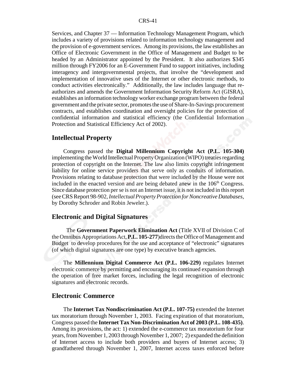Services, and Chapter 37 — Information Technology Management Program, which includes a variety of provisions related to information technology management and the provision of e-government services. Among its provisions, the law establishes an Office of Electronic Government in the Office of Management and Budget to be headed by an Administrator appointed by the President. It also authorizes \$345 million through FY2006 for an E-Government Fund to support initiatives, including interagency and intergovernmental projects, that involve the "development and implementation of innovative uses of the Internet or other electronic methods, to conduct activities electronically." Additionally, the law includes language that reauthorizes and amends the Government Information Security Reform Act (GISRA), establishes an information technology worker exchange program between the federal government and the private sector, promotes the use of Share-In-Savings procurement contracts, and establishes coordination and oversight policies for the protection of confidential information and statistical efficiency (the Confidential Information Protection and Statistical Efficiency Act of 2002).

#### **Intellectual Property**

Congress passed the **Digital Millennium Copyright Act (P.L. 105-304)** implementing the World Intellectual Property Organization (WIPO) treaties regarding protection of copyright on the Internet. The law also limits copyright infringement liability for online service providers that serve only as conduits of information. Provisions relating to database protection that were included by the House were not included in the enacted version and are being debated anew in the  $106<sup>th</sup>$  Congress. Since database protection per se is not an Internet issue, it is not included in this report (see CRS Report 98-902, *Intellectual Property Protection for Noncreative Databases*, by Dorothy Schroder and Robin Jeweler.).

#### **Electronic and Digital Signatures**

 The **Government Paperwork Elimination Act** (Title XVII of Division C of the Omnibus Appropriations Act, **P.L. 105-277**)directs the Office of Management and Budget to develop procedures for the use and acceptance of "electronic" signatures (of which digital signatures are one type) by executive branch agencies.

The **Millennium Digital Commerce Act (P.L. 106-229)** regulates Internet electronic commerce by permitting and encouraging its continued expansion through the operation of free market forces, including the legal recognition of electronic signatures and electronic records.

#### **Electronic Commerce**

The **Internet Tax Nondiscrimination Act (P.L. 107-75)** extended the Internet tax moratorium through November 1, 2003. Facing expiration of that moratorium, Congress passed the **Internet Tax Non-Discrimination Act of 2003 (P.L. 108-435)**. Among its provisions, the act: 1) extended the e-commerce tax moratorium for four years, from November 1, 2003 through November 1, 2007; 2) expanded the definition of Internet access to include both providers and buyers of Internet access; 3) grandfathered through November 1, 2007, Internet access taxes enforced before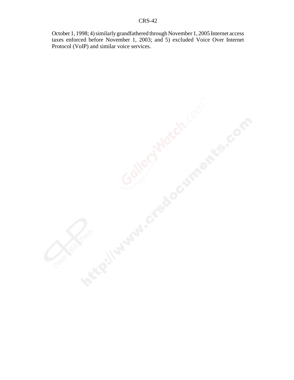October 1, 1998; 4) similarly grandfathered through November 1, 2005 Internet access taxes enforced before November 1, 2003; and 5) excluded Voice Over Internet Protocol (VoIP) and similar voice services.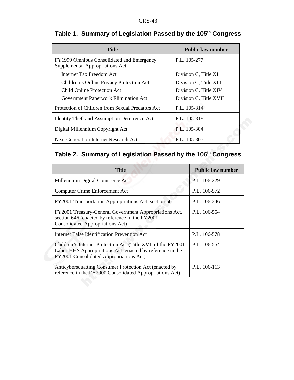| <b>Title</b>                                                                 | <b>Public law number</b> |
|------------------------------------------------------------------------------|--------------------------|
| FY1999 Omnibus Consolidated and Emergency<br>Supplemental Appropriations Act | P.L. 105-277             |
| Internet Tax Freedom Act                                                     | Division C, Title XI     |
| Children's Online Privacy Protection Act                                     | Division C, Title XIII   |
| Child Online Protection Act                                                  | Division C, Title XIV    |
| Government Paperwork Elimination Act                                         | Division C, Title XVII   |
| Protection of Children from Sexual Predators Act                             | P.L. 105-314             |
| <b>Identity Theft and Assumption Deterrence Act</b>                          | P.L. 105-318             |
| Digital Millennium Copyright Act                                             | P.L. 105-304             |
| Next Generation Internet Research Act                                        | P.L. 105-305             |

## **Table 1. Summary of Legislation Passed by the 105th Congress**

## **Table 2. Summary of Legislation Passed by the 106th Congress**

| Title                                                                                                                                                                 | <b>Public law number</b> |
|-----------------------------------------------------------------------------------------------------------------------------------------------------------------------|--------------------------|
| Millennium Digital Commerce Act                                                                                                                                       | P.L. 106-229             |
| <b>Computer Crime Enforcement Act</b>                                                                                                                                 | P.L. 106-572             |
| FY2001 Transportation Appropriations Act, section 501                                                                                                                 | P.L. 106-246             |
| FY2001 Treasury-General Government Appropriations Act,<br>section 646 (enacted by reference in the FY2001<br><b>Consolidated Appropriations Act)</b>                  | P.L. 106-554             |
| <b>Internet False Identification Prevention Act</b>                                                                                                                   | P.L. 106-578             |
| Children's Internet Protection Act (Title XVII of the FY2001)<br>Labor-HHS Appropriations Act, enacted by reference in the<br>FY2001 Consolidated Appropriations Act) | P.L. 106-554             |
| Anticybersquatting Consumer Protection Act (enacted by<br>reference in the FY2000 Consolidated Appropriations Act)                                                    | P.L. 106-113             |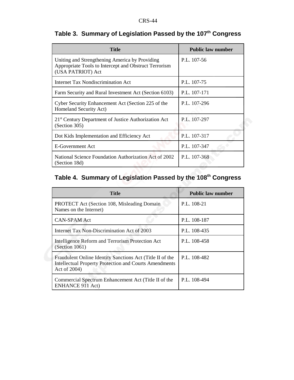| <b>Title</b>                                                                                                                 | <b>Public law number</b> |
|------------------------------------------------------------------------------------------------------------------------------|--------------------------|
| Uniting and Strengthening America by Providing<br>Appropriate Tools to Intercept and Obstruct Terrorism<br>(USA PATRIOT) Act | P.L. 107-56              |
| Internet Tax Nondiscrimination Act                                                                                           | P.L. 107-75              |
| Farm Security and Rural Investment Act (Section 6103)                                                                        | P.L. 107-171             |
| Cyber Security Enhancement Act (Section 225 of the<br>Homeland Security Act)                                                 | P.L. 107-296             |
| 21 <sup>st</sup> Century Department of Justice Authorization Act<br>(Section 305)                                            | P.L. 107-297             |
| Dot Kids Implementation and Efficiency Act                                                                                   | P.L. 107-317             |
| <b>E-Government Act</b>                                                                                                      | P.L. 107-347             |
| National Science Foundation Authorization Act of 2002<br>(Section 18d)                                                       | P.L. 107-368             |

## **Table 3. Summary of Legislation Passed by the 107th Congress**

## **Table 4. Summary of Legislation Passed by the 108th Congress**

| <b>Title</b>                                                                                                                               | <b>Public law number</b> |
|--------------------------------------------------------------------------------------------------------------------------------------------|--------------------------|
| <b>PROTECT</b> Act (Section 108, Misleading Domain<br>Names on the Internet)                                                               | P.L. 108-21              |
| <b>CAN-SPAM Act</b>                                                                                                                        | P.L. 108-187             |
| Internet Tax Non-Discrimination Act of 2003                                                                                                | P.L. 108-435             |
| Intelligence Reform and Terrorism Protection Act<br>(Section 1061)                                                                         | P.L. 108-458             |
| Fraudulent Online Identity Sanctions Act (Title II of the<br><b>Intellectual Property Protection and Courts Amendments</b><br>Act of 2004) | P.L. 108-482             |
| Commercial Spectrum Enhancement Act (Title II of the<br><b>ENHANCE 911 Act)</b>                                                            | P.L. 108-494             |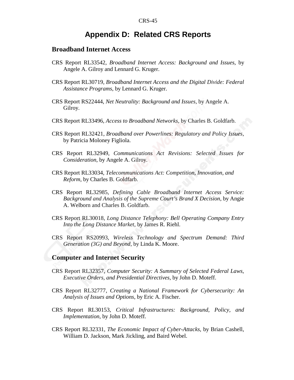## **Appendix D: Related CRS Reports**

#### **Broadband Internet Access**

- CRS Report RL33542, *Broadband Internet Access: Background and Issues*, by Angele A. Gilroy and Lennard G. Kruger.
- CRS Report RL30719, *Broadband Internet Access and the Digital Divide: Federal Assistance Programs*, by Lennard G. Kruger.
- CRS Report RS22444, *Net Neutrality: Background and Issues*, by Angele A. Gilroy.
- CRS Report RL33496, *Access to Broadband Networks*, by Charles B. Goldfarb.
- CRS Report RL32421, *Broadband over Powerlines: Regulatory and Policy Issues*, by Patricia Moloney Figliola.
- CRS Report RL32949, *Communications Act Revisions: Selected Issues for Consideration*, by Angele A. Gilroy.
- CRS Report RL33034, *Telecommunications Act: Competition, Innovation, and Reform*, by Charles B. Goldfarb.
- CRS Report RL32985, *Defining Cable Broadband Internet Access Service: Background and Analysis of the Supreme Court's Brand X Decision*, by Angie A. Welborn and Charles B. Goldfarb.
- CRS Report RL30018, *Long Distance Telephony: Bell Operating Company Entry Into the Long Distance Market*, by James R. Riehl.
- CRS Report RS20993, *Wireless Technology and Spectrum Demand: Third Generation (3G) and Beyond*, by Linda K. Moore.

#### **Computer and Internet Security**

- CRS Report RL32357, *Computer Security: A Summary of Selected Federal Laws, Executive Orders, and Presidential Directives*, by John D. Moteff.
- CRS Report RL32777, *Creating a National Framework for Cybersecurity: An Analysis of Issues and Options*, by Eric A. Fischer.
- CRS Report RL30153, *Critical Infrastructures: Background, Policy, and Implementation*, by John D. Moteff.
- CRS Report RL32331, *The Economic Impact of Cyber-Attacks*, by Brian Cashell, William D. Jackson, Mark Jickling, and Baird Webel.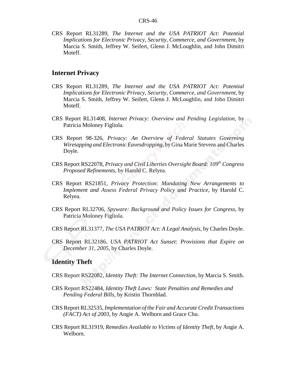CRS Report RL31289, *The Internet and the USA PATRIOT Act: Potential Implications for Electronic Privacy, Security, Commerce, and Government*, by Marcia S. Smith, Jeffrey W. Seifert, Glenn J. McLoughlin, and John Dimitri Moteff.

#### **Internet Privacy**

- CRS Report RL31289, *The Internet and the USA PATRIOT Act: Potential Implications for Electronic Privacy, Security, Commerce, and Government*, by Marcia S. Smith, Jeffrey W. Seifert, Glenn J. McLoughlin, and John Dimitri Moteff.
- CRS Report RL31408, *Internet Privacy: Overview and Pending Legislation*, by Patricia Moloney Figliola.
- CRS Report 98-326, *Privacy: An Overview of Federal Statutes Governing Wiretapping and Electronic Eavesdropping*, by Gina Marie Stevens and Charles Doyle.
- CRS Report RS22078, *Privacy and Civil Liberties Oversight Board: 109th Congress Proposed Refinements*, by Harold C. Relyea.
- CRS Report RS21851, *Privacy Protection: Mandating New Arrangements to Implement and Assess Federal Privacy Policy and Practice*, by Harold C. Relyea.
- CRS Report RL32706, *Spyware: Background and Policy Issues for Congress*, by Patricia Moloney Figliola.
- CRS Report RL31377, *The USA PATRIOT Act: A Legal Analysis*, by Charles Doyle.
- CRS Report RL32186, *USA PATRIOT Act Sunset: Provisions that Expire on December 31, 2005*, by Charles Doyle.

#### **Identity Theft**

- CRS Report RS22082, *Identity Theft: The Internet Connection*, by Marcia S. Smith.
- CRS Report RS22484, *Identity Theft Laws: State Penalties and Remedies and Pending Federal Bills*, by Kristin Thornblad.
- CRS Report RL32535, *Implementation of the Fair and Accurate Credit Transactions (FACT) Act of 2003*, by Angie A. Welborn and Grace Chu.
- CRS Report RL31919, *Remedies Available to Victims of Identity Theft*, by Angie A. Welborn.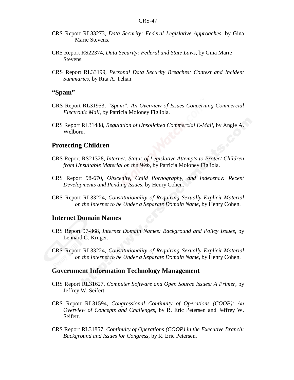- CRS Report RL33273, *Data Security: Federal Legislative Approaches*, by Gina Marie Stevens.
- CRS Report RS22374, *Data Security: Federal and State Laws*, by Gina Marie Stevens.
- CRS Report RL33199, *Personal Data Security Breaches: Context and Incident Summaries*, by Rita A. Tehan.

#### **"Spam"**

- CRS Report RL31953, *"Spam": An Overview of Issues Concerning Commercial Electronic Mail*, by Patricia Moloney Figliola.
- CRS Report RL31488, *Regulation of Unsolicited Commercial E-Mail*, by Angie A. Welborn.

#### **Protecting Children**

- CRS Report RS21328, *Internet: Status of Legislative Attempts to Protect Children from Unsuitable Material on the Web*, by Patricia Moloney Figliola.
- CRS Report 98-670, *Obscenity, Child Pornography, and Indecency: Recent Developments and Pending Issues*, by Henry Cohen.
- CRS Report RL33224, *Constitutionality of Requiring Sexually Explicit Material on the Internet to be Under a Separate Domain Name*, by Henry Cohen.

#### **Internet Domain Names**

- CRS Report 97-868, *Internet Domain Names: Background and Policy Issues*, by Lennard G. Kruger.
- CRS Report RL33224, *Constitutionality of Requiring Sexually Explicit Material on the Internet to be Under a Separate Domain Name*, by Henry Cohen.

#### **Government Information Technology Management**

- CRS Report RL31627, *Computer Software and Open Source Issues: A Primer*, by Jeffrey W. Seifert.
- CRS Report RL31594, *Congressional Continuity of Operations (COOP): An Overview of Concepts and Challenges*, by R. Eric Petersen and Jeffrey W. Seifert.
- CRS Report RL31857, *Continuity of Operations (COOP) in the Executive Branch: Background and Issues for Congress*, by R. Eric Petersen.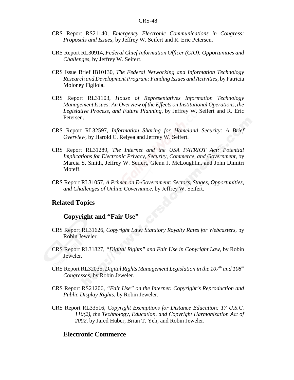- CRS Report RS21140, *Emergency Electronic Communications in Congress: Proposals and Issues*, by Jeffrey W. Seifert and R. Eric Petersen.
- CRS Report RL30914, *Federal Chief Information Officer (CIO): Opportunities and Challenges*, by Jeffrey W. Seifert.
- CRS Issue Brief IB10130, *The Federal Networking and Information Technology Research and Development Program: Funding Issues and Activities*, by Patricia Moloney Figliola.
- CRS Report RL31103, *House of Representatives Information Technology Management Issues: An Overview of the Effects on Institutional Operations, the Legislative Process, and Future Planning*, by Jeffrey W. Seifert and R. Eric Petersen.
- CRS Report RL32597, *Information Sharing for Homeland Security: A Brief Overview*, by Harold C. Relyea and Jeffrey W. Seifert.
- CRS Report RL31289, *The Internet and the USA PATRIOT Act: Potential Implications for Electronic Privacy, Security, Commerce, and Government*, by Marcia S. Smith, Jeffrey W. Seifert, Glenn J. McLoughlin, and John Dimitri Moteff.
- CRS Report RL31057, *A Primer on E-Government: Sectors, Stages, Opportunities, and Challenges of Online Governance*, by Jeffrey W. Seifert.

#### **Related Topics**

#### **Copyright and "Fair Use"**

- CRS Report RL31626, *Copyright Law: Statutory Royalty Rates for Webcasters*, by Robin Jeweler.
- CRS Report RL31827, *"Digital Rights" and Fair Use in Copyright Law*, by Robin Jeweler.
- CRS Report RL32035, *Digital Rights Management Legislation in the 107<sup>th</sup> and 108<sup>th</sup> Congresses*, by Robin Jeweler.
- CRS Report RS21206, *"Fair Use" on the Internet: Copyright's Reproduction and Public Display Rights*, by Robin Jeweler.
- CRS Report RL33516, *Copyright Exemptions for Distance Education: 17 U.S.C. 110(2), the Technology, Education, and Copyright Harmonization Act of 2002*, by Jared Huber, Brian T. Yeh, and Robin Jeweler.

#### **Electronic Commerce**